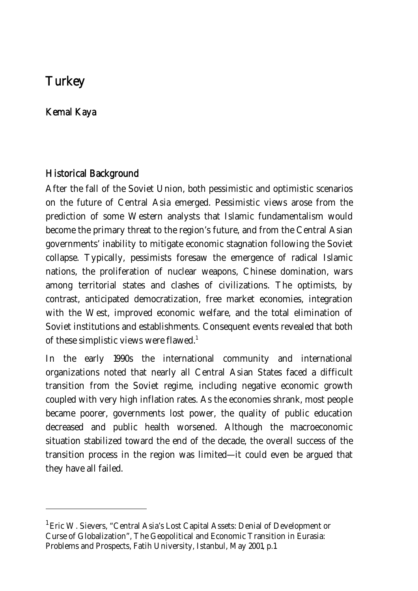# Turkey

### Kemal Kaya

 $\overline{a}$ 

#### Historical Background

After the fall of the Soviet Union, both pessimistic and optimistic scenarios on the future of Central Asia emerged. Pessimistic views arose from the prediction of some Western analysts that Islamic fundamentalism would become the primary threat to the region's future, and from the Central Asian governments' inability to mitigate economic stagnation following the Soviet collapse. Typically, pessimists foresaw the emergence of radical Islamic nations, the proliferation of nuclear weapons, Chinese domination, wars among territorial states and clashes of civilizations. The optimists, by contrast, anticipated democratization, free market economies, integration with the West, improved economic welfare, and the total elimination of Soviet institutions and establishments. Consequent events revealed that both of these simplistic views were flawed.<sup>1</sup>

In the early 1990s the international community and international organizations noted that nearly all Central Asian States faced a difficult transition from the Soviet regime, including negative economic growth coupled with very high inflation rates. As the economies shrank, most people became poorer, governments lost power, the quality of public education decreased and public health worsened. Although the macroeconomic situation stabilized toward the end of the decade, the overall success of the transition process in the region was limited—it could even be argued that they have all failed.

 $^1$  Eric W. Sievers, "Central Asia's Lost Capital Assets: Denial of Development or Curse of Globalization", The Geopolitical and Economic Transition in Eurasia: Problems and Prospects, Fatih University, Istanbul, May 2001, p.1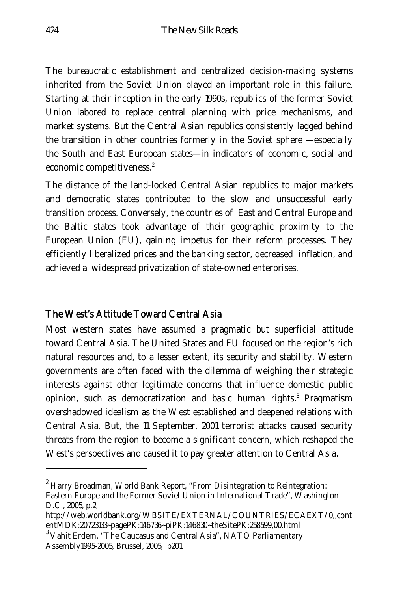The bureaucratic establishment and centralized decision-making systems inherited from the Soviet Union played an important role in this failure. Starting at their inception in the early 1990s, republics of the former Soviet Union labored to replace central planning with price mechanisms, and market systems. But the Central Asian republics consistently lagged behind the transition in other countries formerly in the Soviet sphere —especially the South and East European states—in indicators of economic, social and economic competitiveness.<sup>2</sup>

The distance of the land-locked Central Asian republics to major markets and democratic states contributed to the slow and unsuccessful early transition process. Conversely, the countries of East and Central Europe and the Baltic states took advantage of their geographic proximity to the European Union (EU), gaining impetus for their reform processes. They efficiently liberalized prices and the banking sector, decreased inflation, and achieved a widespread privatization of state-owned enterprises.

#### The West's Attitude Toward Central Asia

Most western states have assumed a pragmatic but superficial attitude toward Central Asia. The United States and EU focused on the region's rich natural resources and, to a lesser extent, its security and stability. Western governments are often faced with the dilemma of weighing their strategic interests against other legitimate concerns that influence domestic public opinion, such as democratization and basic human rights.<sup>3</sup> Pragmatism overshadowed idealism as the West established and deepened relations with Central Asia. But, the 11 September, 2001 terrorist attacks caused security threats from the region to become a significant concern, which reshaped the West's perspectives and caused it to pay greater attention to Central Asia.

 $^{\rm 2}$  Harry Broadman, World Bank Report, "From Disintegration to Reintegration: Eastern Europe and the Former Soviet Union in International Trade", Washington D.C., 2005, p.2,

http://web.worldbank.org/WBSITE/EXTERNAL/COUNTRIES/ECAEXT/0,,cont entMDK:20723133~pagePK:146736~piPK:146830~theSitePK:258599,00.html

 $^3$  Vahit Erdem, "The Caucasus and Central Asia", NATO Parliamentary Assembly1995-2005, Brussel, 2005, p201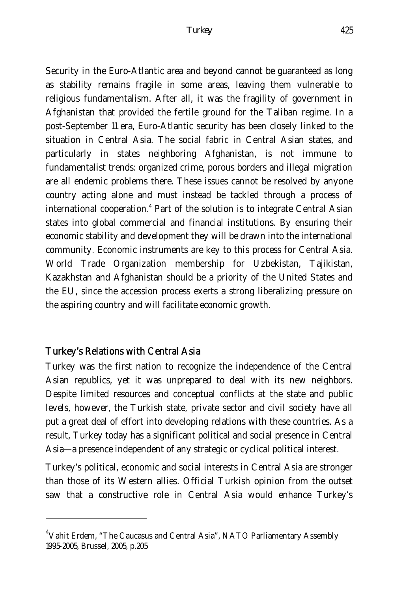Security in the Euro-Atlantic area and beyond cannot be guaranteed as long as stability remains fragile in some areas, leaving them vulnerable to religious fundamentalism. After all, it was the fragility of government in Afghanistan that provided the fertile ground for the Taliban regime. In a post-September 11 era, Euro-Atlantic security has been closely linked to the situation in Central Asia. The social fabric in Central Asian states, and particularly in states neighboring Afghanistan, is not immune to fundamentalist trends: organized crime, porous borders and illegal migration are all endemic problems there. These issues cannot be resolved by anyone country acting alone and must instead be tackled through a process of international cooperation.<sup>4</sup> Part of the solution is to integrate Central Asian states into global commercial and financial institutions. By ensuring their economic stability and development they will be drawn into the international community. Economic instruments are key to this process for Central Asia. World Trade Organization membership for Uzbekistan, Tajikistan, Kazakhstan and Afghanistan should be a priority of the United States and the EU, since the accession process exerts a strong liberalizing pressure on the aspiring country and will facilitate economic growth.

# Turkey's Relations with Central Asia

 $\overline{a}$ 

Turkey was the first nation to recognize the independence of the Central Asian republics, yet it was unprepared to deal with its new neighbors. Despite limited resources and conceptual conflicts at the state and public levels, however, the Turkish state, private sector and civil society have all put a great deal of effort into developing relations with these countries. As a result, Turkey today has a significant political and social presence in Central Asia—a presence independent of any strategic or cyclical political interest.

Turkey's political, economic and social interests in Central Asia are stronger than those of its Western allies. Official Turkish opinion from the outset saw that a constructive role in Central Asia would enhance Turkey's

 $\rm ^4$ Vahit Erdem, "The Caucasus and Central Asia", NATO Parliamentary Assembly 1995-2005, Brussel, 2005, p.205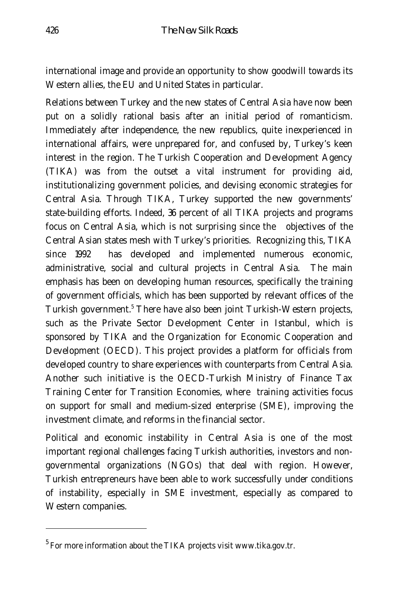international image and provide an opportunity to show goodwill towards its Western allies, the EU and United States in particular.

Relations between Turkey and the new states of Central Asia have now been put on a solidly rational basis after an initial period of romanticism. Immediately after independence, the new republics, quite inexperienced in international affairs, were unprepared for, and confused by, Turkey's keen interest in the region. The Turkish Cooperation and Development Agency (TIKA) was from the outset a vital instrument for providing aid, institutionalizing government policies, and devising economic strategies for Central Asia. Through TIKA, Turkey supported the new governments' state-building efforts. Indeed, 36 percent of all TIKA projects and programs focus on Central Asia, which is not surprising since the objectives of the Central Asian states mesh with Turkey's priorities. Recognizing this, TIKA since 1992 has developed and implemented numerous economic, administrative, social and cultural projects in Central Asia. The main emphasis has been on developing human resources, specifically the training of government officials, which has been supported by relevant offices of the Turkish government.<sup>5</sup> There have also been joint Turkish-Western projects, such as the Private Sector Development Center in Istanbul, which is sponsored by TIKA and the Organization for Economic Cooperation and Development (OECD). This project provides a platform for officials from developed country to share experiences with counterparts from Central Asia. Another such initiative is the OECD-Turkish Ministry of Finance Tax Training Center for Transition Economies, where training activities focus on support for small and medium-sized enterprise (SME), improving the investment climate, and reforms in the financial sector.

Political and economic instability in Central Asia is one of the most important regional challenges facing Turkish authorities, investors and nongovernmental organizations (NGOs) that deal with region. However, Turkish entrepreneurs have been able to work successfully under conditions of instability, especially in SME investment, especially as compared to Western companies.

 $^5$  For more information about the TIKA projects visit www.tika.gov.tr.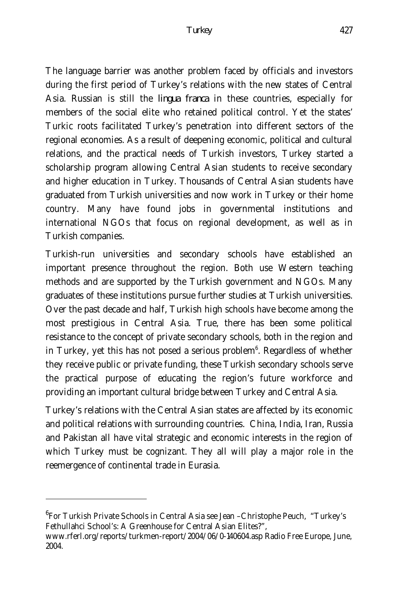The language barrier was another problem faced by officials and investors during the first period of Turkey's relations with the new states of Central Asia. Russian is still the *lingua franca* in these countries, especially for members of the social elite who retained political control. Yet the states' Turkic roots facilitated Turkey's penetration into different sectors of the regional economies. As a result of deepening economic, political and cultural relations, and the practical needs of Turkish investors, Turkey started a scholarship program allowing Central Asian students to receive secondary and higher education in Turkey. Thousands of Central Asian students have graduated from Turkish universities and now work in Turkey or their home country. Many have found jobs in governmental institutions and international NGOs that focus on regional development, as well as in Turkish companies.

Turkish-run universities and secondary schools have established an important presence throughout the region. Both use Western teaching methods and are supported by the Turkish government and NGOs. Many graduates of these institutions pursue further studies at Turkish universities. Over the past decade and half, Turkish high schools have become among the most prestigious in Central Asia. True, there has been some political resistance to the concept of private secondary schools, both in the region and in Turkey, yet this has not posed a serious problem<sup>6</sup>. Regardless of whether they receive public or private funding, these Turkish secondary schools serve the practical purpose of educating the region's future workforce and providing an important cultural bridge between Turkey and Central Asia.

Turkey's relations with the Central Asian states are affected by its economic and political relations with surrounding countries. China, India, Iran, Russia and Pakistan all have vital strategic and economic interests in the region of which Turkey must be cognizant. They all will play a major role in the reemergence of continental trade in Eurasia.

 $^6$ For Turkish Private Schools in Central Asia see Jean –Christophe Peuch, "Turkey's Fethullahci School's: A Greenhouse for Central Asian Elites?",

www.rferl.org/reports/turkmen-report/2004/06/0-140604.asp Radio Free Europe, June, 2004.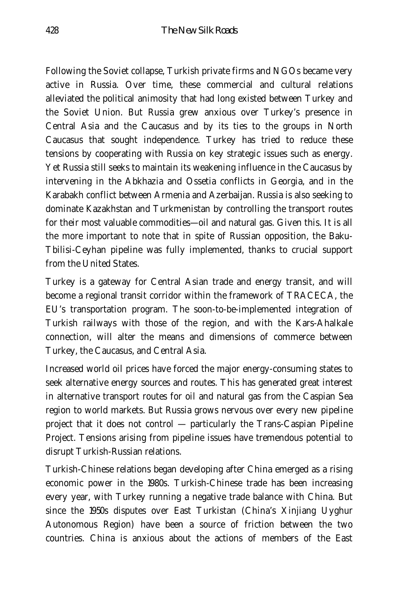Following the Soviet collapse, Turkish private firms and NGOs became very active in Russia. Over time, these commercial and cultural relations alleviated the political animosity that had long existed between Turkey and the Soviet Union. But Russia grew anxious over Turkey's presence in Central Asia and the Caucasus and by its ties to the groups in North Caucasus that sought independence. Turkey has tried to reduce these tensions by cooperating with Russia on key strategic issues such as energy. Yet Russia still seeks to maintain its weakening influence in the Caucasus by intervening in the Abkhazia and Ossetia conflicts in Georgia, and in the Karabakh conflict between Armenia and Azerbaijan. Russia is also seeking to dominate Kazakhstan and Turkmenistan by controlling the transport routes for their most valuable commodities—oil and natural gas. Given this. It is all the more important to note that in spite of Russian opposition, the Baku-Tbilisi-Ceyhan pipeline was fully implemented, thanks to crucial support from the United States.

Turkey is a gateway for Central Asian trade and energy transit, and will become a regional transit corridor within the framework of TRACECA, the EU's transportation program. The soon-to-be-implemented integration of Turkish railways with those of the region, and with the Kars-Ahalkale connection, will alter the means and dimensions of commerce between Turkey, the Caucasus, and Central Asia.

Increased world oil prices have forced the major energy-consuming states to seek alternative energy sources and routes. This has generated great interest in alternative transport routes for oil and natural gas from the Caspian Sea region to world markets. But Russia grows nervous over every new pipeline project that it does not control — particularly the Trans-Caspian Pipeline Project. Tensions arising from pipeline issues have tremendous potential to disrupt Turkish-Russian relations.

Turkish-Chinese relations began developing after China emerged as a rising economic power in the 1980s. Turkish-Chinese trade has been increasing every year, with Turkey running a negative trade balance with China. But since the 1950s disputes over East Turkistan (China's Xinjiang Uyghur Autonomous Region) have been a source of friction between the two countries. China is anxious about the actions of members of the East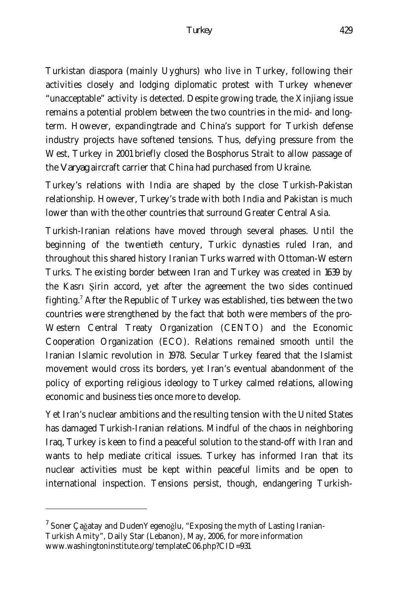Turkistan diaspora (mainly Uyghurs) who live in Turkey, following their activities closely and lodging diplomatic protest with Turkey whenever "unacceptable" activity is detected. Despite growing trade, the Xinjiang issue remains a potential problem between the two countries in the mid- and longterm. However, expandingtrade and China's support for Turkish defense industry projects have softened tensions. Thus, defying pressure from the West, Turkey in 2001 briefly closed the Bosphorus Strait to allow passage of the *Varyag* aircraft carrier that China had purchased from Ukraine.

Turkey's relations with India are shaped by the close Turkish-Pakistan relationship. However, Turkey's trade with both India and Pakistan is much lower than with the other countries that surround Greater Central Asia.

Turkish-Iranian relations have moved through several phases. Until the beginning of the twentieth century, Turkic dynasties ruled Iran, and throughout this shared history Iranian Turks warred with Ottoman-Western Turks. The existing border between Iran and Turkey was created in 1639 by the Kasrı Şirin accord, yet after the agreement the two sides continued fighting.7 After the Republic of Turkey was established, ties between the two countries were strengthened by the fact that both were members of the pro-Western Central Treaty Organization (CENTO) and the Economic Cooperation Organization (ECO). Relations remained smooth until the Iranian Islamic revolution in 1978. Secular Turkey feared that the Islamist movement would cross its borders, yet Iran's eventual abandonment of the policy of exporting religious ideology to Turkey calmed relations, allowing economic and business ties once more to develop.

Yet Iran's nuclear ambitions and the resulting tension with the United States has damaged Turkish-Iranian relations. Mindful of the chaos in neighboring Iraq, Turkey is keen to find a peaceful solution to the stand-off with Iran and wants to help mediate critical issues. Turkey has informed Iran that its nuclear activities must be kept within peaceful limits and be open to international inspection. Tensions persist, though, endangering Turkish-

 $^7$  Soner Çağatay and DudenYegenoğlu, "Exposing the myth of Lasting Iranian-Turkish Amity", Daily Star (Lebanon), May, 2006, for more information www.washingtoninstitute.org/templateC06.php?CID=931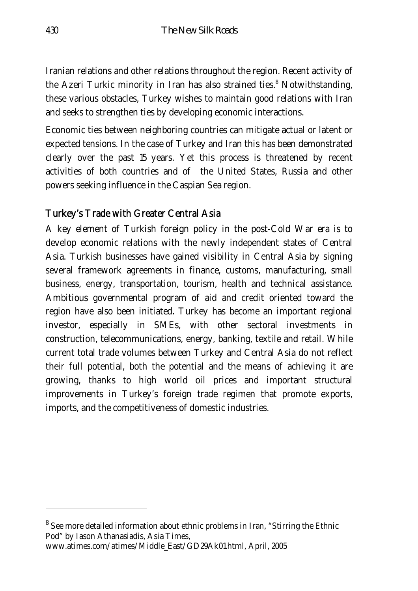Iranian relations and other relations throughout the region. Recent activity of the Azeri Turkic minority in Iran has also strained ties.<sup>8</sup> Notwithstanding, these various obstacles, Turkey wishes to maintain good relations with Iran and seeks to strengthen ties by developing economic interactions.

Economic ties between neighboring countries can mitigate actual or latent or expected tensions. In the case of Turkey and Iran this has been demonstrated clearly over the past 15 years. Yet this process is threatened by recent activities of both countries and of the United States, Russia and other powers seeking influence in the Caspian Sea region.

# Turkey's Trade with Greater Central Asia

A key element of Turkish foreign policy in the post-Cold War era is to develop economic relations with the newly independent states of Central Asia. Turkish businesses have gained visibility in Central Asia by signing several framework agreements in finance, customs, manufacturing, small business, energy, transportation, tourism, health and technical assistance. Ambitious governmental program of aid and credit oriented toward the region have also been initiated. Turkey has become an important regional investor, especially in SMEs, with other sectoral investments in construction, telecommunications, energy, banking, textile and retail. While current total trade volumes between Turkey and Central Asia do not reflect their full potential, both the potential and the means of achieving it are growing, thanks to high world oil prices and important structural improvements in Turkey's foreign trade regimen that promote exports, imports, and the competitiveness of domestic industries.

 $^8$  See more detailed information about ethnic problems in Iran, "Stirring the Ethnic Pod" by Iason Athanasiadis, Asia Times,

www.atimes.com/atimes/Middle\_East/GD29Ak01.html, April, 2005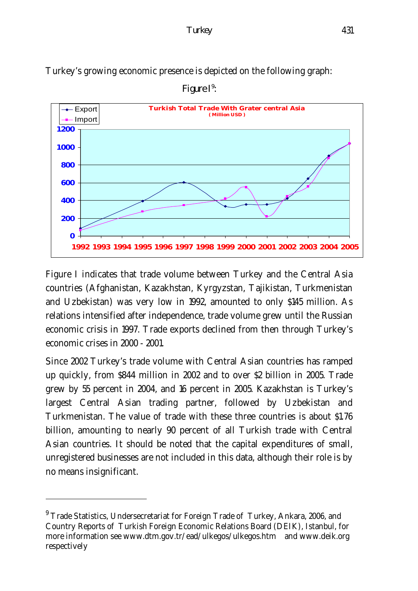Turkey's growing economic presence is depicted on the following graph:





Figure I indicates that trade volume between Turkey and the Central Asia countries (Afghanistan, Kazakhstan, Kyrgyzstan, Tajikistan, Turkmenistan and Uzbekistan) was very low in 1992, amounted to only \$145 million. As relations intensified after independence, trade volume grew until the Russian economic crisis in 1997. Trade exports declined from then through Turkey's economic crises in 2000 - 2001.

Since 2002 Turkey's trade volume with Central Asian countries has ramped up quickly, from \$844 million in 2002 and to over \$2 billion in 2005. Trade grew by 55 percent in 2004, and 16 percent in 2005. Kazakhstan is Turkey's largest Central Asian trading partner, followed by Uzbekistan and Turkmenistan. The value of trade with these three countries is about \$1.76 billion, amounting to nearly 90 percent of all Turkish trade with Central Asian countries. It should be noted that the capital expenditures of small, unregistered businesses are not included in this data, although their role is by no means insignificant.

 $^9$  Trade Statistics, Undersecretariat for Foreign Trade of  $\,$ Turkey, Ankara, 2006, and Country Reports of Turkish Foreign Economic Relations Board (DEIK), Istanbul, for more information see www.dtm.gov.tr/ead/ulkegos/ulkegos.htm and www.deik.org respectively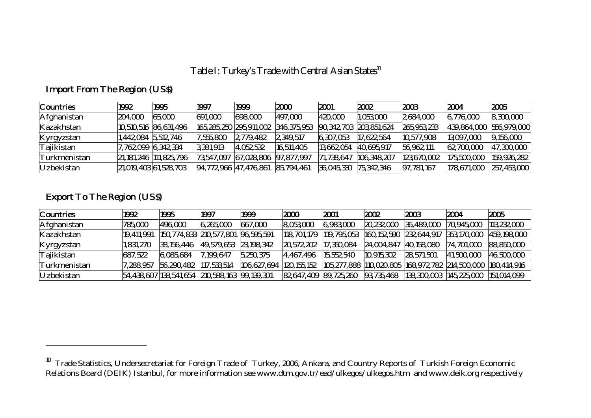#### Table I: Turkey's Trade with Central Asian States<sup>10</sup>

#### Import From The Region (US\$)

| <b>Countries</b>  | 1992                | 1995                   | 1997                    | 1999       | 2000        | <b>2001</b> | 2002        | 2003        | 2004        | 2005        |
|-------------------|---------------------|------------------------|-------------------------|------------|-------------|-------------|-------------|-------------|-------------|-------------|
| Afghanistan       | 204,000             | 65,000                 | 691,000                 | 698.000    | 497,000     | 420,000     | 1.053.000   | 2,684,000   | 6,776,000   | 8,300,000   |
| Kazakhstan        |                     | 10,510,516 86,631,496  | 165,285,250 295,911,002 |            | 346,375,953 | 90,342,703  | 203,851,624 | 265,953,233 | 439.864.000 | 556,979,000 |
| Kyrgyzstan        | 1,442,084 5,512,746 |                        | 7,555,800               | 2,779,482  | 2,349,517   | 6,307,053   | 17.622.564  | 10,577,908  | 13,097,000  | 9,156,000   |
| Tajikistan        | 7,762,099 6,342,334 |                        | 3,381,913               | 4,052,532  | 16,511,405  | 13,662,054  | 40,695,917  | 56,962,111  | 62,700,000  | 47,300,000  |
| Turkmenistan      |                     | 21,181,246 111,825,796 | 73,547,097              | 67,028,806 | 97,877,997  | 71,738,647  | 106,348,207 | 123,670,002 | 175,500,000 | 159,926,282 |
| <b>Uzbekistan</b> |                     | 21,019,403 61,528,703  | 94,772,966 47,476,861   |            | 85,794,461  | 36,045,330  | 75,342,346  | 97,781,167  | 178,671,000 | 257,453,000 |

# Export To The Region (US\$)

| <b>Countries</b>  | 1992       | 1995                               | 1997                   | 1999        | 2000                  | 2001        | 2002        | 2003                                                    | 2004        | 2005        |
|-------------------|------------|------------------------------------|------------------------|-------------|-----------------------|-------------|-------------|---------------------------------------------------------|-------------|-------------|
| Afghanistan       | 785,000    | 496.000                            | 6.265.000              | 667,000     | 8.053.000             | 6,983,000   | 20,232,000  | 36,489,000                                              | 70.945.000  | 113,232,000 |
| Kazakhstan        | 19.411.991 | 150,774,833 210,577,801 96,595,591 |                        |             | 118,701,179           | 119,795,053 | 160,152,590 | 232,644,917                                             | 353,170,000 | 459,198,000 |
| Kyrgyzstan        | 1,831,270  | 38.156.446                         | 49,579,653             | 23,198,342  | 20,572,202            | 17,350,084  | 24,004,847  | 40,158,080                                              | 74,701,000  | 88,850,000  |
| Tajikistan        | 687,522    | 6.085.684                          | 7.199.647              | 5,250,375   | 4.467.496             | 15,552,540  | 10,915,302  | 28,571,501                                              | 41,500,000  | 46.500.000  |
| Turkmenistan      | 7,288,957  | 56,290,482                         | 117,533,514            | 106,627,694 | 120,155,152           |             |             | $105,277,888$ $110,020,805$ $168,972,782$ $214,500,000$ |             | 180.414.916 |
| <b>Uzbekistan</b> |            | 54,438,607 138,541,654             | 210,588,163 99,139,301 |             | 82,647,409 89,725,260 |             | 93,735,468  | 138,300,003 145,225,000                                 |             | 151,014,099 |

<sup>&</sup>lt;sup>10</sup> Trade Statistics, Undersecretariat for Foreign Trade of Turkey, 2006, Ankara, and Country Reports of Turkish Foreign Economic Relations Board (DEIK) Istanbul, for more information see www.dtm.gov.tr/ead/ulkegos/ulkegos.htm and www.deik.org respectively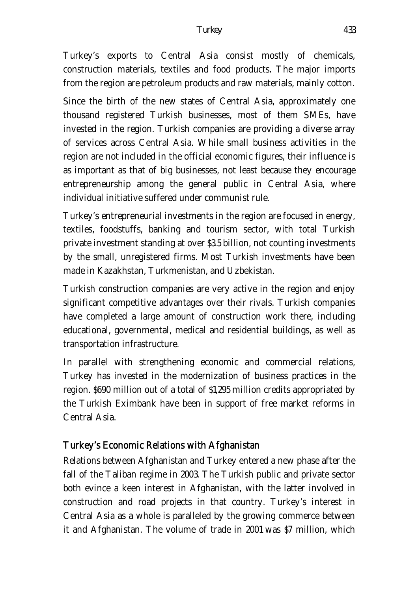Turkey's exports to Central Asia consist mostly of chemicals, construction materials, textiles and food products. The major imports from the region are petroleum products and raw materials, mainly cotton.

Since the birth of the new states of Central Asia, approximately one thousand registered Turkish businesses, most of them SMEs, have invested in the region. Turkish companies are providing a diverse array of services across Central Asia. While small business activities in the region are not included in the official economic figures, their influence is as important as that of big businesses, not least because they encourage entrepreneurship among the general public in Central Asia, where individual initiative suffered under communist rule.

Turkey's entrepreneurial investments in the region are focused in energy, textiles, foodstuffs, banking and tourism sector, with total Turkish private investment standing at over \$3.5 billion, not counting investments by the small, unregistered firms. Most Turkish investments have been made in Kazakhstan, Turkmenistan, and Uzbekistan.

Turkish construction companies are very active in the region and enjoy significant competitive advantages over their rivals. Turkish companies have completed a large amount of construction work there, including educational, governmental, medical and residential buildings, as well as transportation infrastructure.

In parallel with strengthening economic and commercial relations, Turkey has invested in the modernization of business practices in the region. \$690 million out of a total of \$1,295 million credits appropriated by the Turkish Eximbank have been in support of free market reforms in Central Asia.

# Turkey's Economic Relations with Afghanistan

Relations between Afghanistan and Turkey entered a new phase after the fall of the Taliban regime in 2003. The Turkish public and private sector both evince a keen interest in Afghanistan, with the latter involved in construction and road projects in that country. Turkey's interest in Central Asia as a whole is paralleled by the growing commerce between it and Afghanistan. The volume of trade in 2001 was \$7 million, which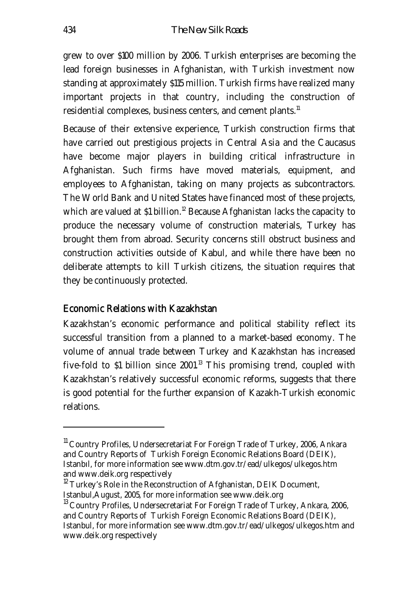grew to over \$100 million by 2006. Turkish enterprises are becoming the lead foreign businesses in Afghanistan, with Turkish investment now standing at approximately \$115 million. Turkish firms have realized many important projects in that country, including the construction of residential complexes, business centers, and cement plants.<sup>11</sup>

Because of their extensive experience, Turkish construction firms that have carried out prestigious projects in Central Asia and the Caucasus have become major players in building critical infrastructure in Afghanistan. Such firms have moved materials, equipment, and employees to Afghanistan, taking on many projects as subcontractors. The World Bank and United States have financed most of these projects, which are valued at  $$1$  billion.<sup>12</sup> Because Afghanistan lacks the capacity to produce the necessary volume of construction materials, Turkey has brought them from abroad. Security concerns still obstruct business and construction activities outside of Kabul, and while there have been no deliberate attempts to kill Turkish citizens, the situation requires that they be continuously protected.

# Economic Relations with Kazakhstan

Kazakhstan's economic performance and political stability reflect its successful transition from a planned to a market-based economy. The volume of annual trade between Turkey and Kazakhstan has increased five-fold to \$1 billion since 2001.13 This promising trend, coupled with Kazakhstan's relatively successful economic reforms, suggests that there is good potential for the further expansion of Kazakh-Turkish economic relations.

 $11$  Country Profiles, Undersecretariat For Foreign Trade of Turkey, 2006, Ankara and Country Reports of Turkish Foreign Economic Relations Board (DEIK), Istanbıl, for more information see www.dtm.gov.tr/ead/ulkegos/ulkegos.htm and www.deik.org respectively

<sup>&</sup>lt;sup>12</sup> Turkey's Role in the Reconstruction of Afghanistan, DEIK Document,

Istanbul,August, 2005, for more information see www.deik.org 13 Country Profiles, Undersecretariat For Foreign Trade of Turkey, Ankara, 2006, and Country Reports of Turkish Foreign Economic Relations Board (DEIK), Istanbul, for more information see www.dtm.gov.tr/ead/ulkegos/ulkegos.htm and www.deik.org respectively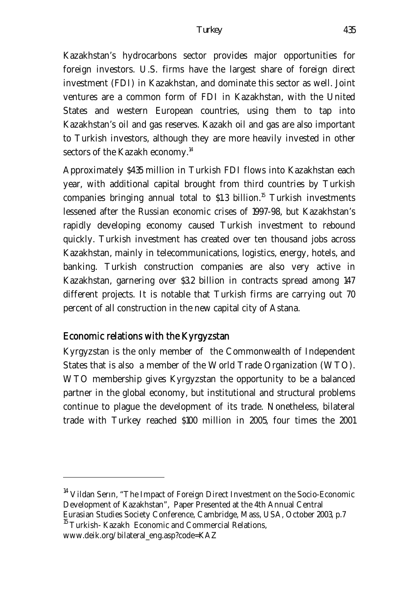Kazakhstan's hydrocarbons sector provides major opportunities for foreign investors. U.S. firms have the largest share of foreign direct investment (FDI) in Kazakhstan, and dominate this sector as well. Joint ventures are a common form of FDI in Kazakhstan, with the United States and western European countries, using them to tap into Kazakhstan's oil and gas reserves. Kazakh oil and gas are also important to Turkish investors, although they are more heavily invested in other sectors of the Kazakh economy.<sup>14</sup>

Approximately \$435 million in Turkish FDI flows into Kazakhstan each year, with additional capital brought from third countries by Turkish companies bringing annual total to \$1.3 billion.15 Turkish investments lessened after the Russian economic crises of 1997-98, but Kazakhstan's rapidly developing economy caused Turkish investment to rebound quickly. Turkish investment has created over ten thousand jobs across Kazakhstan, mainly in telecommunications, logistics, energy, hotels, and banking. Turkish construction companies are also very active in Kazakhstan, garnering over \$3.2 billion in contracts spread among 147 different projects. It is notable that Turkish firms are carrying out 70 percent of all construction in the new capital city of Astana.

# Economic relations with the Kyrgyzstan

Kyrgyzstan is the only member of the Commonwealth of Independent States that is also a member of the World Trade Organization (WTO). WTO membership gives Kyrgyzstan the opportunity to be a balanced partner in the global economy, but institutional and structural problems continue to plague the development of its trade. Nonetheless, bilateral trade with Turkey reached \$100 million in 2005, four times the 2001

<sup>14</sup> Vildan Serin, "The Impact of Foreign Direct Investment on the Socio-Economic Development of Kazakhstan", Paper Presented at the 4th Annual Central

 $^{15}$  Turkish- Kazakh Economic and Commercial Relations, www.deik.org/bilateral\_eng.asp?code=KAZ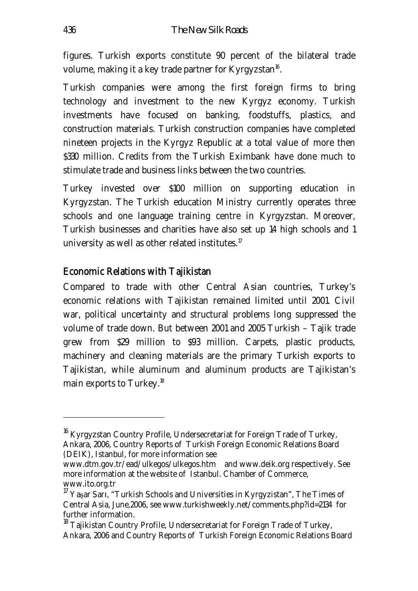figures. Turkish exports constitute 90 percent of the bilateral trade volume, making it a key trade partner for Kyrgyzstan $^{16}$ .

Turkish companies were among the first foreign firms to bring technology and investment to the new Kyrgyz economy. Turkish investments have focused on banking, foodstuffs, plastics, and construction materials. Turkish construction companies have completed nineteen projects in the Kyrgyz Republic at a total value of more then \$330 million. Credits from the Turkish Eximbank have done much to stimulate trade and business links between the two countries.

Turkey invested over \$100 million on supporting education in Kyrgyzstan. The Turkish education Ministry currently operates three schools and one language training centre in Kyrgyzstan. Moreover, Turkish businesses and charities have also set up 14 high schools and 1 university as well as other related institutes. $17$ 

# Economic Relations with Tajikistan

Compared to trade with other Central Asian countries, Turkey's economic relations with Tajikistan remained limited until 2001. Civil war, political uncertainty and structural problems long suppressed the volume of trade down. But between 2001 and 2005 Turkish – Tajik trade grew from \$29 million to \$93 million. Carpets, plastic products, machinery and cleaning materials are the primary Turkish exports to Tajikistan, while aluminum and aluminum products are Tajikistan's main exports to Turkey.<sup>18</sup>

<sup>&</sup>lt;sup>16</sup> Kyrgyzstan Country Profile, Undersecretariat for Foreign Trade of Turkey, Ankara, 2006, Country Reports of Turkish Foreign Economic Relations Board (DEIK), Istanbul, for more information see

www.dtm.gov.tr/ead/ulkegos/ulkegos.htm and www.deik.org respectively. See more information at the website of Istanbul. Chamber of Commerce, www.ito.org.tr

<sup>&</sup>lt;sup>17</sup> Yaşar Sarı, "Turkish Schools and Universities in Kyrgyzistan", The Times of Central Asia, June,2006, see www.turkishweekly.net/comments.php?id=2134 for further information.

<sup>18</sup> Tajikistan Country Profile, Undersecretariat for Foreign Trade of Turkey, Ankara, 2006 and Country Reports of Turkish Foreign Economic Relations Board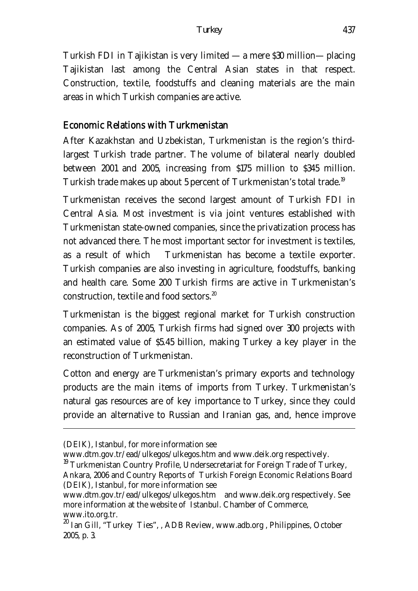Turkish FDI in Tajikistan is very limited — a mere \$30 million— placing Tajikistan last among the Central Asian states in that respect. Construction, textile, foodstuffs and cleaning materials are the main areas in which Turkish companies are active.

# Economic Relations with Turkmenistan

After Kazakhstan and Uzbekistan, Turkmenistan is the region's thirdlargest Turkish trade partner. The volume of bilateral nearly doubled between 2001 and 2005, increasing from \$175 million to \$345 million. Turkish trade makes up about 5 percent of Turkmenistan's total trade.<sup>19</sup>

Turkmenistan receives the second largest amount of Turkish FDI in Central Asia. Most investment is via joint ventures established with Turkmenistan state-owned companies, since the privatization process has not advanced there. The most important sector for investment is textiles, as a result of which Turkmenistan has become a textile exporter. Turkish companies are also investing in agriculture, foodstuffs, banking and health care. Some 200 Turkish firms are active in Turkmenistan's construction, textile and food sectors.<sup>20</sup>

Turkmenistan is the biggest regional market for Turkish construction companies. As of 2005, Turkish firms had signed over 300 projects with an estimated value of \$5.45 billion, making Turkey a key player in the reconstruction of Turkmenistan.

Cotton and energy are Turkmenistan's primary exports and technology products are the main items of imports from Turkey. Turkmenistan's natural gas resources are of key importance to Turkey, since they could provide an alternative to Russian and Iranian gas, and, hence improve

-

<sup>(</sup>DEIK), Istanbul, for more information see

www.dtm.gov.tr/ead/ulkegos/ulkegos.htm and www.deik.org respectively.

<sup>&</sup>lt;sup>19</sup> Turkmenistan Country Profile, Undersecretariat for Foreign Trade of Turkey,

Ankara, 2006 and Country Reports of Turkish Foreign Economic Relations Board (DEIK), Istanbul, for more information see

www.dtm.gov.tr/ead/ulkegos/ulkegos.htm and www.deik.org respectively. See more information at the website of Istanbul. Chamber of Commerce, www.ito.org.tr.

<sup>20</sup> Ian Gill, "Turkey Ties", , ADB Review, www.adb.org , Philippines, October 2005, p. 3.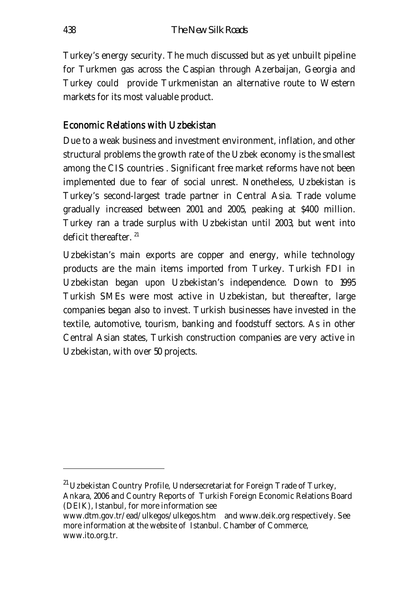Turkey's energy security. The much discussed but as yet unbuilt pipeline for Turkmen gas across the Caspian through Azerbaijan, Georgia and Turkey could provide Turkmenistan an alternative route to Western markets for its most valuable product.

# Economic Relations with Uzbekistan

Due to a weak business and investment environment, inflation, and other structural problems the growth rate of the Uzbek economy is the smallest among the CIS countries . Significant free market reforms have not been implemented due to fear of social unrest. Nonetheless, Uzbekistan is Turkey's second-largest trade partner in Central Asia. Trade volume gradually increased between 2001 and 2005, peaking at \$400 million. Turkey ran a trade surplus with Uzbekistan until 2003, but went into deficit thereafter.<sup>21</sup>

Uzbekistan's main exports are copper and energy, while technology products are the main items imported from Turkey. Turkish FDI in Uzbekistan began upon Uzbekistan's independence. Down to 1995 Turkish SMEs were most active in Uzbekistan, but thereafter, large companies began also to invest. Turkish businesses have invested in the textile, automotive, tourism, banking and foodstuff sectors. As in other Central Asian states, Turkish construction companies are very active in Uzbekistan, with over 50 projects.

 $\overline{a}$ 

www.ito.org.tr.

<sup>&</sup>lt;sup>21</sup> Uzbekistan Country Profile, Undersecretariat for Foreign Trade of Turkey, Ankara, 2006 and Country Reports of Turkish Foreign Economic Relations Board (DEIK), Istanbul, for more information see www.dtm.gov.tr/ead/ulkegos/ulkegos.htm and www.deik.org respectively. See more information at the website of Istanbul. Chamber of Commerce,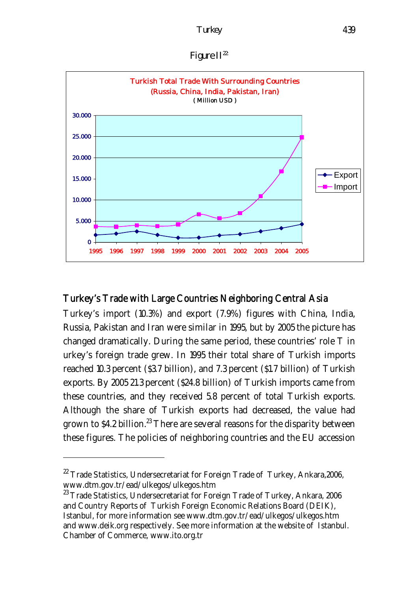*Figure II<sup>22:</sup>* 



#### Turkey's Trade with Large Countries Neighboring Central Asia

Turkey's import (10.3%) and export (7.9%) figures with China, India, Russia, Pakistan and Iran were similar in 1995, but by 2005 the picture has changed dramatically. During the same period, these countries' role T in urkey's foreign trade grew. In 1995 their total share of Turkish imports reached 10.3 percent (\$3.7 billion), and 7.3 percent (\$1.7 billion) of Turkish exports. By 2005 21.3 percent (\$24.8 billion) of Turkish imports came from these countries, and they received 5.8 percent of total Turkish exports. Although the share of Turkish exports had decreased, the value had grown to  $$4.2$  billion.<sup>23</sup> There are several reasons for the disparity between these figures. The policies of neighboring countries and the EU accession

<sup>&</sup>lt;sup>22</sup> Trade Statistics, Undersecretariat for Foreign Trade of Turkey, Ankara, 2006, www.dtm.gov.tr/ead/ulkegos/ulkegos.htm

<sup>&</sup>lt;sup>23</sup> Trade Statistics, Undersecretariat for Foreign Trade of Turkey, Ankara, 2006 and Country Reports of Turkish Foreign Economic Relations Board (DEIK), Istanbul, for more information see www.dtm.gov.tr/ead/ulkegos/ulkegos.htm and www.deik.org respectively. See more information at the website of Istanbul. Chamber of Commerce, www.ito.org.tr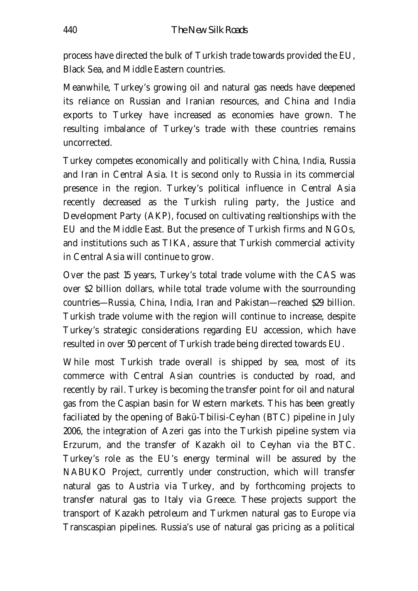process have directed the bulk of Turkish trade towards provided the EU, Black Sea, and Middle Eastern countries.

Meanwhile, Turkey's growing oil and natural gas needs have deepened its reliance on Russian and Iranian resources, and China and India exports to Turkey have increased as economies have grown. The resulting imbalance of Turkey's trade with these countries remains uncorrected.

Turkey competes economically and politically with China, India, Russia and Iran in Central Asia. It is second only to Russia in its commercial presence in the region. Turkey's political influence in Central Asia recently decreased as the Turkish ruling party, the Justice and Development Party (AKP), focused on cultivating realtionships with the EU and the Middle East. But the presence of Turkish firms and NGOs, and institutions such as TIKA, assure that Turkish commercial activity in Central Asia will continue to grow.

Over the past 15 years, Turkey's total trade volume with the CAS was over \$2 billion dollars, while total trade volume with the sourrounding countries—Russia, China, India, Iran and Pakistan—reached \$29 billion. Turkish trade volume with the region will continue to increase, despite Turkey's strategic considerations regarding EU accession, which have resulted in over 50 percent of Turkish trade being directed towards EU.

While most Turkish trade overall is shipped by sea, most of its commerce with Central Asian countries is conducted by road, and recently by rail. Turkey is becoming the transfer point for oil and natural gas from the Caspian basin for Western markets. This has been greatly faciliated by the opening of Bakü-Tbilisi-Ceyhan (BTC) pipeline in July 2006, the integration of Azeri gas into the Turkish pipeline system via Erzurum, and the transfer of Kazakh oil to Ceyhan via the BTC. Turkey's role as the EU's energy terminal will be assured by the NABUKO Project, currently under construction, which will transfer natural gas to Austria via Turkey, and by forthcoming projects to transfer natural gas to Italy via Greece. These projects support the transport of Kazakh petroleum and Turkmen natural gas to Europe via Transcaspian pipelines. Russia's use of natural gas pricing as a political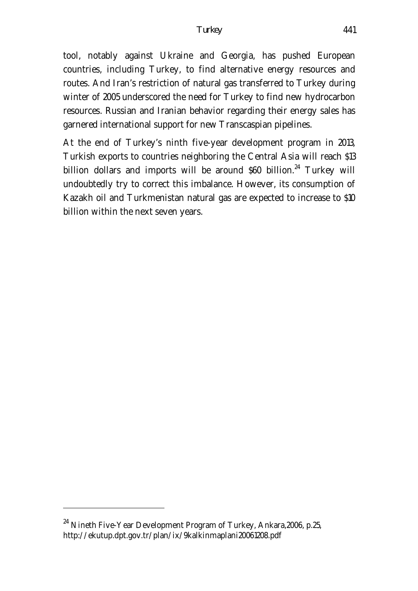tool, notably against Ukraine and Georgia, has pushed European countries, including Turkey, to find alternative energy resources and routes. And Iran's restriction of natural gas transferred to Turkey during winter of 2005 underscored the need for Turkey to find new hydrocarbon resources. Russian and Iranian behavior regarding their energy sales has garnered international support for new Transcaspian pipelines.

At the end of Turkey's ninth five-year development program in 2013, Turkish exports to countries neighboring the Central Asia will reach \$13 billion dollars and imports will be around \$60 billion.<sup>24</sup> Turkey will undoubtedly try to correct this imbalance. However, its consumption of Kazakh oil and Turkmenistan natural gas are expected to increase to \$10 billion within the next seven years.

 $24$  Nineth Five-Year Development Program of Turkey, Ankara, 2006, p.25, http://ekutup.dpt.gov.tr/plan/ix/9kalkinmaplani20061208.pdf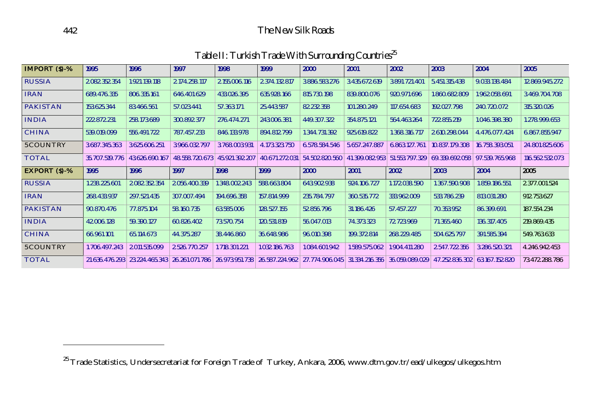#### 442 *The New Silk Roads*

| IMPORT $(S)$ -% | 1995           | 1996           | 1997           | 1998           | 1999           | 2000           | 2001           | 2002           | 2003           | 2004                            | 2005            |
|-----------------|----------------|----------------|----------------|----------------|----------------|----------------|----------------|----------------|----------------|---------------------------------|-----------------|
| <b>RUSSIA</b>   | 2.082.352.354  | 1.921.139.118  | 2.174.258.117  | 2.155.006.116  | 2.374.132.817  | 3.886.583.276  | 3.435.672.619  | 3.891.721.401  | 5.451.315.438  | 9.033.138.484                   | 12.869.945.272  |
| <b>IRAN</b>     | 689.476.335    | 806.335.161    | 646.401.629    | 433.026.395    | 635.928.166    | 815.730.198    | 839.800.076    | 920.971.696    | 1.860.682.809  | 1.962.058.691                   | 3.469.704.708   |
| <b>PAKISTAN</b> | 153.625.344    | 83.466.561     | 57.023.441     | 57.363.171     | 25.443.587     | 82.232.358     | 101.280.249    | 117.654.683    | 192.027.798    | 240.720.072                     | 315.320.026     |
| <b>INDIA</b>    | 222.872.231    | 258.173.689    | 300.892.377    | 276.474.271    | 243.006.381    | 449.307.322    | 354.875.121    | 564.463.264    | 722.855.219    | 1.046.398.380                   | 1.278.999.653   |
| <b>CHINA</b>    | 539.019.099    | 556.491.722    | 787.457.233    | 846.133.978    | 894.812.799    | 1.344.731.392  | 925.619.822    | 1.368.316.717  | 2.610.298.044  | 4.476.077.424                   | 6.867.855.947   |
| 5 COUNTRY       | 3.687.345.363  | 3.625.606.251  | 3.966.032.797  | 3.768.003.931  | 4.173.323.750  | 6.578.584.546  | 5.657.247.887  | 6.863.127.761  | 10.837.179.308 | 16.758.393.051                  | 24.801.825.606  |
| <b>TOTAL</b>    | 35.707.519.776 | 43.626.690.167 | 48.558.720.673 | 45.921.392.207 | 40.671.272.031 | 54.502.820.560 | 41.399.082.953 | 51.553.797.329 |                | 69.339.692.058   97.539.765.968 | 116.562.532.073 |
|                 |                |                |                |                |                |                |                |                |                |                                 |                 |
| EXPORT $(S)$ -% | 1995           | 1996           | 1997           | 1998           | 1999           | 2000           | 2001           | 2002           | 2003           | 2004                            | 2005            |
| <b>RUSSIA</b>   | 1.238.225.601  | 2.082.352.354  | 2.056.400.339  | 1.348.002.243  | 588.663.804    | 643.902.938    | 924.106.727    | 1.172.038.590  | 1.367.590.908  | 1.859.186.551                   | 2.377.001.524   |
| <b>IRAN</b>     | 268.433.937    | 297.521.435    | 307.007.494    | 194.696.358    | 157.814.999    | 235.784.797    | 360.535.772    | 333.962.009    | 533.786.239    | 813.031.280                     | 912.753.627     |
| <b>PAKISTAN</b> | 90.870.476     | 77.875.104     | 58.160.735     | 63.585.006     | 128.527.155    | 52.856.796     | 31.186.426     | 57.457.227     | 70.353.952     | 86.399.691                      | 187.554.234     |
| <b>INDIA</b>    | 42.006.128     | 59.390.127     | 60.826.402     | 73.570.754     | 120.531.819    | 56.047.013     | 74.373.323     | 72.723.969     | 71.365.460     | 136.317.405                     | 219.869.435     |
| <b>CHINA</b>    | 66.961.101     | 65.114.673     | 44.375.287     | 38.446.860     | 36.648.986     | 96.010.398     | 199.372.814    | 268.229.485    | 504.625.797    | 391.585.394                     | 549.763.633     |
| 5 COUNTRY       | 1.706.497.243  | 2.011.535.099  | 2.526.770.257  | 1.718.301.221  | 1.032.186.763  | 1.084.601.942  | 1.589.575.062  | 1.904.411.280  | 2.547.722.356  | 3.286.520.321                   | 4.246.942.453   |

 $^{25}$  Trade Statistics, Undersecretariat for Foreign Trade of Turkey, Ankara, 2006, www.dtm.gov.tr/ead/ulkegos/ulkegos.htm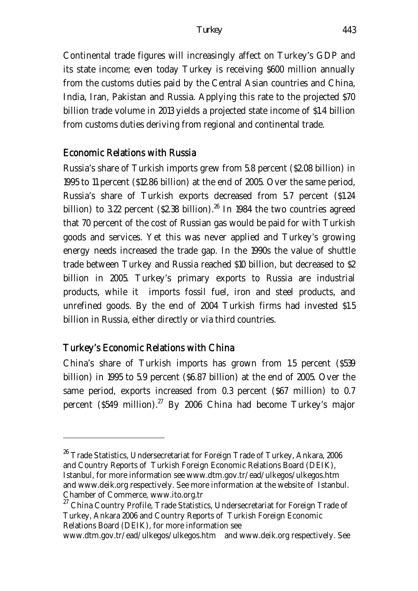Continental trade figures will increasingly affect on Turkey's GDP and its state income; even today Turkey is receiving \$600 million annually from the customs duties paid by the Central Asian countries and China, India, Iran, Pakistan and Russia. Applying this rate to the projected \$70 billion trade volume in 2013 yields a projected state income of \$1.4 billion from customs duties deriving from regional and continental trade.

#### Economic Relations with Russia

Russia's share of Turkish imports grew from 5.8 percent (\$2.08 billion) in 1995 to 11 percent (\$12.86 billion) at the end of 2005. Over the same period, Russia's share of Turkish exports decreased from 5.7 percent (\$1.24 billion) to 3.22 percent (\$2.38 billion).<sup>26</sup> In 1984 the two countries agreed that 70 percent of the cost of Russian gas would be paid for with Turkish goods and services. Yet this was never applied and Turkey's growing energy needs increased the trade gap. In the 1990s the value of shuttle trade between Turkey and Russia reached \$10 billion, but decreased to \$2 billion in 2005. Turkey's primary exports to Russia are industrial products, while it imports fossil fuel, iron and steel products, and unrefined goods. By the end of 2004 Turkish firms had invested \$1.5 billion in Russia, either directly or via third countries.

#### Turkey's Economic Relations with China

 $\overline{a}$ 

China's share of Turkish imports has grown from 1.5 percent (\$539 billion) in 1995 to 5.9 percent (\$6.87 billion) at the end of 2005. Over the same period, exports increased from 0.3 percent (\$67 million) to 0.7 percent ( $$549$  million).<sup>27</sup> By 2006 China had become Turkey's major

www.dtm.gov.tr/ead/ulkegos/ulkegos.htm and www.deik.org respectively. See

 $26$  Trade Statistics, Undersecretariat for Foreign Trade of Turkey, Ankara, 2006 and Country Reports of Turkish Foreign Economic Relations Board (DEIK), Istanbul, for more information see www.dtm.gov.tr/ead/ulkegos/ulkegos.htm and www.deik.org respectively. See more information at the website of Istanbul. Chamber of Commerce, www.ito.org.tr

<sup>&</sup>lt;sup>27</sup> China Country Profile, Trade Statistics, Undersecretariat for Foreign Trade of Turkey, Ankara 2006 and Country Reports of Turkish Foreign Economic Relations Board (DEIK), for more information see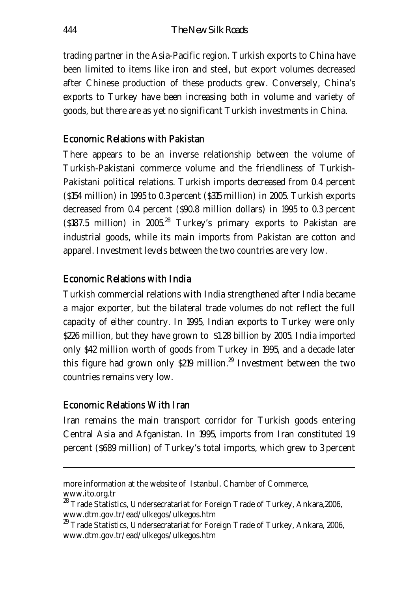trading partner in the Asia-Pacific region. Turkish exports to China have been limited to items like iron and steel, but export volumes decreased after Chinese production of these products grew. Conversely, China's exports to Turkey have been increasing both in volume and variety of goods, but there are as yet no significant Turkish investments in China.

# Economic Relations with Pakistan

There appears to be an inverse relationship between the volume of Turkish-Pakistani commerce volume and the friendliness of Turkish-Pakistani political relations. Turkish imports decreased from 0.4 percent (\$154 million) in 1995 to 0.3 percent (\$315 million) in 2005. Turkish exports decreased from 0.4 percent (\$90.8 million dollars) in 1995 to 0.3 percent ( $$187.5$  million) in 2005.<sup>28</sup> Turkey's primary exports to Pakistan are industrial goods, while its main imports from Pakistan are cotton and apparel. Investment levels between the two countries are very low.

# Economic Relations with India

Turkish commercial relations with India strengthened after India became a major exporter, but the bilateral trade volumes do not reflect the full capacity of either country. In 1995, Indian exports to Turkey were only \$226 million, but they have grown to \$1.28 billion by 2005. India imported only \$42 million worth of goods from Turkey in 1995, and a decade later this figure had grown only  $$219$  million.<sup>29</sup> Investment between the two countries remains very low.

# Economic Relations With Iran

-

Iran remains the main transport corridor for Turkish goods entering Central Asia and Afganistan. In 1995, imports from Iran constituted 1.9 percent (\$689 million) of Turkey's total imports, which grew to 3 percent

more information at the website of Istanbul. Chamber of Commerce, www.ito.org.tr

<sup>&</sup>lt;sup>28</sup> Trade Statistics, Undersecratariat for Foreign Trade of Turkey, Ankara, 2006, www.dtm.gov.tr/ead/ulkegos/ulkegos.htm

<sup>&</sup>lt;sup>29</sup> Trade Statistics, Undersecratariat for Foreign Trade of Turkey, Ankara, 2006, www.dtm.gov.tr/ead/ulkegos/ulkegos.htm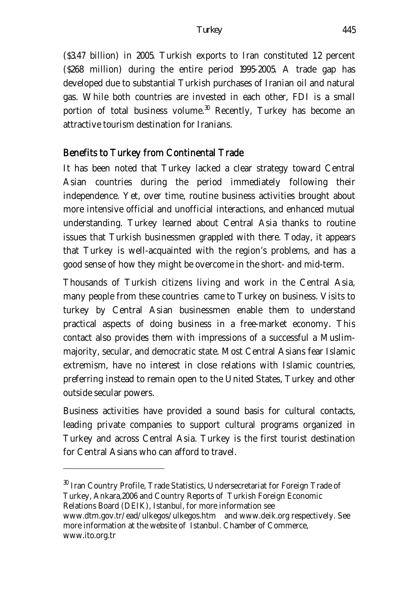(\$3.47 billion) in 2005. Turkish exports to Iran constituted 1.2 percent (\$268 million) during the entire period 1995-2005. A trade gap has developed due to substantial Turkish purchases of Iranian oil and natural gas. While both countries are invested in each other, FDI is a small portion of total business volume.<sup>30</sup> Recently, Turkey has become an attractive tourism destination for Iranians.

#### Benefits to Turkey from Continental Trade

It has been noted that Turkey lacked a clear strategy toward Central Asian countries during the period immediately following their independence. Yet, over time, routine business activities brought about more intensive official and unofficial interactions, and enhanced mutual understanding. Turkey learned about Central Asia thanks to routine issues that Turkish businessmen grappled with there. Today, it appears that Turkey is well-acquainted with the region's problems, and has a good sense of how they might be overcome in the short- and mid-term.

Thousands of Turkish citizens living and work in the Central Asia, many people from these countries came to Turkey on business. Visits to turkey by Central Asian businessmen enable them to understand practical aspects of doing business in a free-market economy. This contact also provides them with impressions of a successful a Muslimmajority, secular, and democratic state. Most Central Asians fear Islamic extremism, have no interest in close relations with Islamic countries, preferring instead to remain open to the United States, Turkey and other outside secular powers.

Business activities have provided a sound basis for cultural contacts, leading private companies to support cultural programs organized in Turkey and across Central Asia. Turkey is the first tourist destination for Central Asians who can afford to travel.

30 Iran Country Profile, Trade Statistics, Undersecretariat for Foreign Trade of Turkey, Ankara,2006 and Country Reports of Turkish Foreign Economic Relations Board (DEIK), Istanbul, for more information see www.dtm.gov.tr/ead/ulkegos/ulkegos.htm and www.deik.org respectively. See more information at the website of Istanbul. Chamber of Commerce, www.ito.org.tr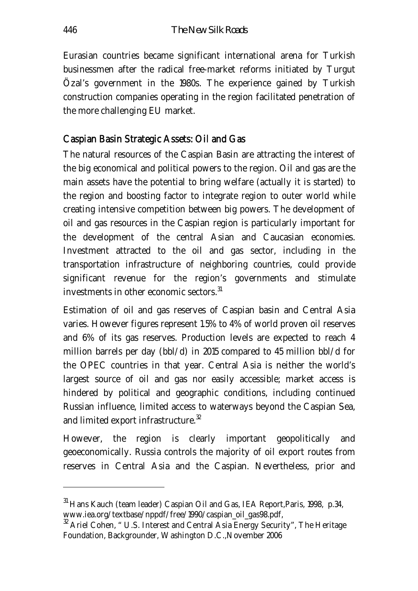Eurasian countries became significant international arena for Turkish businessmen after the radical free-market reforms initiated by Turgut Özal's government in the 1980s. The experience gained by Turkish construction companies operating in the region facilitated penetration of the more challenging EU market.

# Caspian Basin Strategic Assets: Oil and Gas

The natural resources of the Caspian Basin are attracting the interest of the big economical and political powers to the region. Oil and gas are the main assets have the potential to bring welfare (actually it is started) to the region and boosting factor to integrate region to outer world while creating intensive competition between big powers. The development of oil and gas resources in the Caspian region is particularly important for the development of the central Asian and Caucasian economies. Investment attracted to the oil and gas sector, including in the transportation infrastructure of neighboring countries, could provide significant revenue for the region's governments and stimulate investments in other economic sectors.<sup>31</sup>

Estimation of oil and gas reserves of Caspian basin and Central Asia varies. However figures represent 1.5% to 4% of world proven oil reserves and 6% of its gas reserves. Production levels are expected to reach 4 million barrels per day (bbl/d) in 2015 compared to 45 million bbl/d for the OPEC countries in that year. Central Asia is neither the world's largest source of oil and gas nor easily accessible; market access is hindered by political and geographic conditions, including continued Russian influence, limited access to waterways beyond the Caspian Sea, and limited export infrastructure.<sup>32</sup>

However, the region is clearly important geopolitically and geoeconomically. Russia controls the majority of oil export routes from reserves in Central Asia and the Caspian. Nevertheless, prior and

 $31$  Hans Kauch (team leader) Caspian Oil and Gas, IEA Report, Paris, 1998, p.34, www.iea.org/textbase/nppdf/free/1990/caspian\_oil\_gas98.pdf,

<sup>&</sup>lt;sup>32</sup> Ariel Cohen, " U.S. Interest and Central Asia Energy Security", The Heritage Foundation, Backgrounder, Washington D.C.,November 2006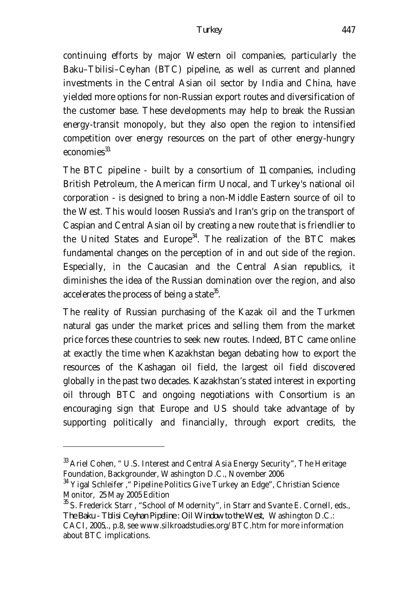continuing efforts by major Western oil companies, particularly the Baku–Tbilisi–Ceyhan (BTC) pipeline, as well as current and planned investments in the Central Asian oil sector by India and China, have yielded more options for non-Russian export routes and diversification of the customer base. These developments may help to break the Russian energy-transit monopoly, but they also open the region to intensified competition over energy resources on the part of other energy-hungry economies<sup>33.</sup>

The BTC pipeline - built by a consortium of 11 companies, including British Petroleum, the American firm Unocal, and Turkey's national oil corporation - is designed to bring a non-Middle Eastern source of oil to the West. This would loosen Russia's and Iran's grip on the transport of Caspian and Central Asian oil by creating a new route that is friendlier to the United States and Europe<sup>34</sup>. The realization of the BTC makes fundamental changes on the perception of in and out side of the region. Especially, in the Caucasian and the Central Asian republics, it diminishes the idea of the Russian domination over the region, and also accelerates the process of being a state $35$ .

The reality of Russian purchasing of the Kazak oil and the Turkmen natural gas under the market prices and selling them from the market price forces these countries to seek new routes. Indeed, BTC came online at exactly the time when Kazakhstan began debating how to export the resources of the Kashagan oil field, the largest oil field discovered globally in the past two decades. Kazakhstan's stated interest in exporting oil through BTC and ongoing negotiations with Consortium is an encouraging sign that Europe and US should take advantage of by supporting politically and financially, through export credits, the

 $33$  Ariel Cohen, " U.S. Interest and Central Asia Energy Security", The Heritage Foundation. Backgrounder. Washington D.C.. November 2006

 $34$  Yigal Schleifer, "Pipeline Politics Give Turkey an Edge", Christian Science Monitor, 25 May 2005 Edition

<sup>&</sup>lt;sup>35</sup> S. Frederick Starr, "School of Modernity", in Starr and Svante E. Cornell, eds., *The Baku - Tblisi Ceyhan Pipeline : Oil Window to the West*, Washington D.C.: CACI, 2005,., p.8, see www.silkroadstudies.org/BTC.htm for more information about BTC implications.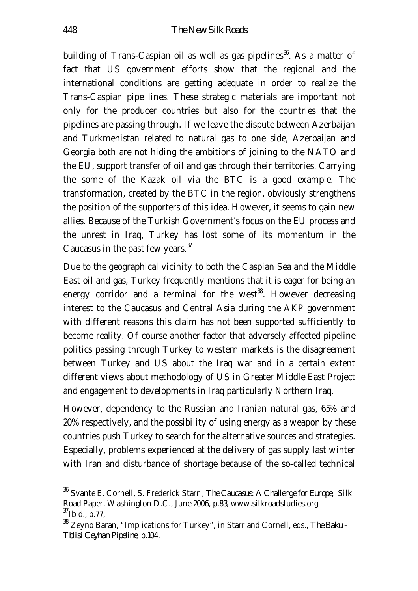building of Trans-Caspian oil as well as gas pipelines<sup>36</sup>. As a matter of fact that US government efforts show that the regional and the international conditions are getting adequate in order to realize the Trans-Caspian pipe lines. These strategic materials are important not only for the producer countries but also for the countries that the pipelines are passing through. If we leave the dispute between Azerbaijan and Turkmenistan related to natural gas to one side, Azerbaijan and Georgia both are not hiding the ambitions of joining to the NATO and the EU, support transfer of oil and gas through their territories. Carrying the some of the Kazak oil via the BTC is a good example. The transformation, created by the BTC in the region, obviously strengthens the position of the supporters of this idea. However, it seems to gain new allies. Because of the Turkish Government's focus on the EU process and the unrest in Iraq, Turkey has lost some of its momentum in the Caucasus in the past few years. $37$ 

Due to the geographical vicinity to both the Caspian Sea and the Middle East oil and gas, Turkey frequently mentions that it is eager for being an energy corridor and a terminal for the west $^{38}$ . However decreasing interest to the Caucasus and Central Asia during the AKP government with different reasons this claim has not been supported sufficiently to become reality. Of course another factor that adversely affected pipeline politics passing through Turkey to western markets is the disagreement between Turkey and US about the Iraq war and in a certain extent different views about methodology of US in Greater Middle East Project and engagement to developments in Iraq particularly Northern Iraq.

However, dependency to the Russian and Iranian natural gas, 65% and 20% respectively, and the possibility of using energy as a weapon by these countries push Turkey to search for the alternative sources and strategies. Especially, problems experienced at the delivery of gas supply last winter with Iran and disturbance of shortage because of the so-called technical

<sup>36</sup> Svante E. Cornell, S. Frederick Starr , *The Caucasus: A Challenge for Europe*, Silk Road Paper, Washington D.C., June 2006, p.83, www.silkroadstudies.org <sup>37</sup>Ibid., p.77,

<sup>38</sup> Zeyno Baran, "Implications for Turkey", in Starr and Cornell, eds., *The Baku - Tblisi Ceyhan Pipeline*, p.104.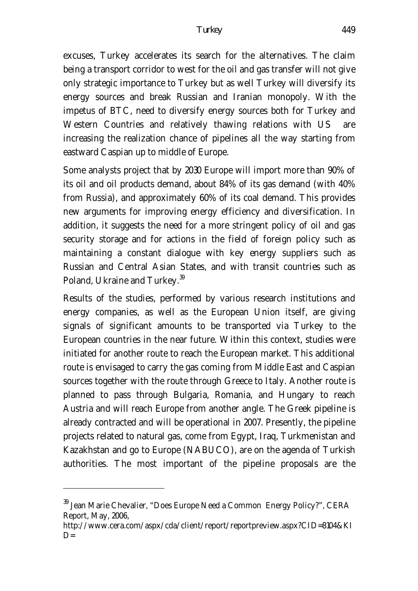excuses, Turkey accelerates its search for the alternatives. The claim being a transport corridor to west for the oil and gas transfer will not give only strategic importance to Turkey but as well Turkey will diversify its energy sources and break Russian and Iranian monopoly. With the impetus of BTC, need to diversify energy sources both for Turkey and Western Countries and relatively thawing relations with US are increasing the realization chance of pipelines all the way starting from eastward Caspian up to middle of Europe.

Some analysts project that by 2030 Europe will import more than 90% of its oil and oil products demand, about 84% of its gas demand (with 40% from Russia), and approximately 60% of its coal demand. This provides new arguments for improving energy efficiency and diversification. In addition, it suggests the need for a more stringent policy of oil and gas security storage and for actions in the field of foreign policy such as maintaining a constant dialogue with key energy suppliers such as Russian and Central Asian States, and with transit countries such as Poland, Ukraine and Turkey.<sup>39</sup>

Results of the studies, performed by various research institutions and energy companies, as well as the European Union itself, are giving signals of significant amounts to be transported via Turkey to the European countries in the near future. Within this context, studies were initiated for another route to reach the European market. This additional route is envisaged to carry the gas coming from Middle East and Caspian sources together with the route through Greece to Italy. Another route is planned to pass through Bulgaria, Romania, and Hungary to reach Austria and will reach Europe from another angle. The Greek pipeline is already contracted and will be operational in 2007. Presently, the pipeline projects related to natural gas, come from Egypt, Iraq, Turkmenistan and Kazakhstan and go to Europe (NABUCO), are on the agenda of Turkish authorities. The most important of the pipeline proposals are the

<sup>39</sup> Jean Marie Chevalier, "Does Europe Need a Common Energy Policy?", CERA Report, May, 2006,

http://www.cera.com/aspx/cda/client/report/reportpreview.aspx?CID=8104&KI  $D=$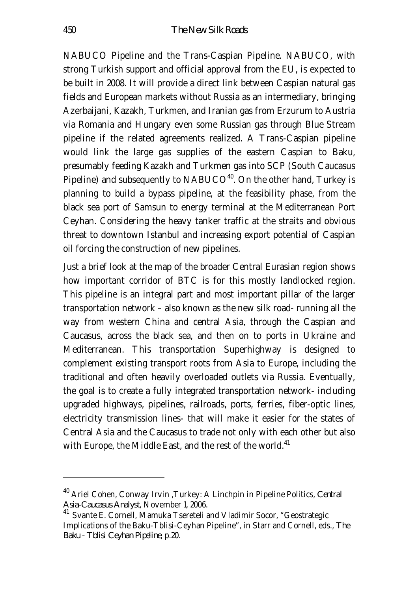NABUCO Pipeline and the Trans-Caspian Pipeline. NABUCO, with strong Turkish support and official approval from the EU, is expected to be built in 2008. It will provide a direct link between Caspian natural gas fields and European markets without Russia as an intermediary, bringing Azerbaijani, Kazakh, Turkmen, and Iranian gas from Erzurum to Austria via Romania and Hungary even some Russian gas through Blue Stream pipeline if the related agreements realized. A Trans-Caspian pipeline would link the large gas supplies of the eastern Caspian to Baku, presumably feeding Kazakh and Turkmen gas into SCP (South Caucasus Pipeline) and subsequently to  $NABUCO<sup>40</sup>$ . On the other hand, Turkey is planning to build a bypass pipeline, at the feasibility phase, from the black sea port of Samsun to energy terminal at the Mediterranean Port Ceyhan. Considering the heavy tanker traffic at the straits and obvious threat to downtown Istanbul and increasing export potential of Caspian oil forcing the construction of new pipelines.

Just a brief look at the map of the broader Central Eurasian region shows how important corridor of BTC is for this mostly landlocked region. This pipeline is an integral part and most important pillar of the larger transportation network – also known as the new silk road- running all the way from western China and central Asia, through the Caspian and Caucasus, across the black sea, and then on to ports in Ukraine and Mediterranean. This transportation Superhighway is designed to complement existing transport roots from Asia to Europe, including the traditional and often heavily overloaded outlets via Russia. Eventually, the goal is to create a fully integrated transportation network- including upgraded highways, pipelines, railroads, ports, ferries, fiber-optic lines, electricity transmission lines- that will make it easier for the states of Central Asia and the Caucasus to trade not only with each other but also with Europe, the Middle East, and the rest of the world.<sup>41</sup>

<sup>40</sup> Ariel Cohen, Conway Irvin ,Turkey: A Linchpin in Pipeline Politics, *Central Asia-Caucasus Analyst*, November 1, 2006.

<sup>41</sup> Svante E. Cornell, Mamuka Tsereteli and Vladimir Socor, "Geostrategic Implications of the Baku-Tblisi-Ceyhan Pipeline", in Starr and Cornell, eds., *The Baku - Tblisi Ceyhan Pipeline*, p.20.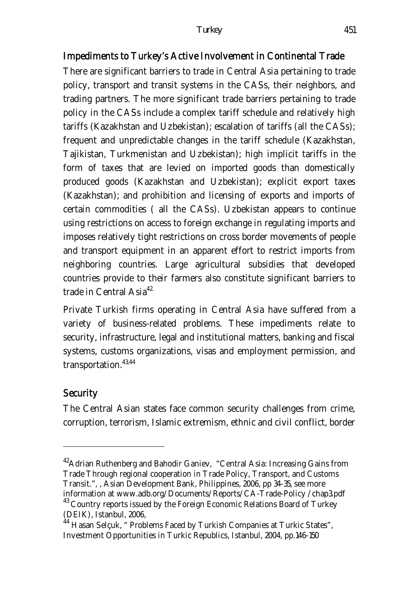#### Impediments to Turkey's Active Involvement in Continental Trade

There are significant barriers to trade in Central Asia pertaining to trade policy, transport and transit systems in the CASs, their neighbors, and trading partners. The more significant trade barriers pertaining to trade policy in the CASs include a complex tariff schedule and relatively high tariffs (Kazakhstan and Uzbekistan); escalation of tariffs (all the CASs); frequent and unpredictable changes in the tariff schedule (Kazakhstan, Tajikistan, Turkmenistan and Uzbekistan); high implicit tariffs in the form of taxes that are levied on imported goods than domestically produced goods (Kazakhstan and Uzbekistan); explicit export taxes (Kazakhstan); and prohibition and licensing of exports and imports of certain commodities ( all the CASs). Uzbekistan appears to continue using restrictions on access to foreign exchange in regulating imports and imposes relatively tight restrictions on cross border movements of people and transport equipment in an apparent effort to restrict imports from neighboring countries. Large agricultural subsidies that developed countries provide to their farmers also constitute significant barriers to trade in Central Asia<sup>42.</sup>

Private Turkish firms operating in Central Asia have suffered from a variety of business-related problems. These impediments relate to security, infrastructure, legal and institutional matters, banking and fiscal systems, customs organizations, visas and employment permission, and transportation.<sup>43,44</sup>

#### **Security**

 $\overline{a}$ 

The Central Asian states face common security challenges from crime, corruption, terrorism, Islamic extremism, ethnic and civil conflict, border

<sup>&</sup>lt;sup>42</sup>Adrian Ruthenberg and Bahodir Ganiev, "Central Asia: Increasing Gains from Trade Through regional cooperation in Trade Policy, Transport, and Customs Transit.", , Asian Development Bank, Philippines, 2006, pp 34-35, see more information at www.adb.org/Documents/Reports/CA-Trade-Policy /chap3.pdf 43 Country reports issued by the Foreign Economic Relations Board of Turkey (DEIK), Istanbul, 2006,

<sup>44</sup> Hasan Selçuk, " Problems Faced by Turkish Companies at Turkic States", Investment Opportunities in Turkic Republics, Istanbul, 2004, pp.146-150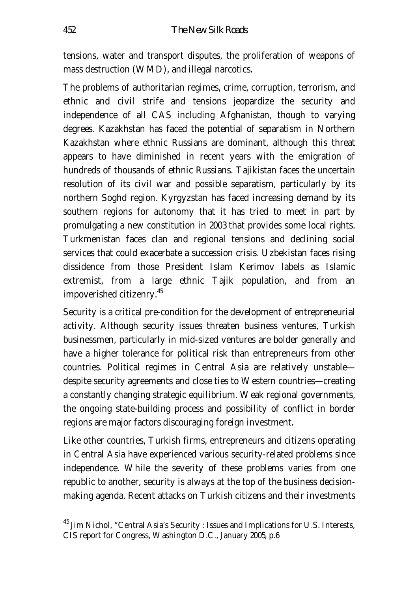tensions, water and transport disputes, the proliferation of weapons of mass destruction (WMD), and illegal narcotics.

The problems of authoritarian regimes, crime, corruption, terrorism, and ethnic and civil strife and tensions jeopardize the security and independence of all CAS including Afghanistan, though to varying degrees. Kazakhstan has faced the potential of separatism in Northern Kazakhstan where ethnic Russians are dominant, although this threat appears to have diminished in recent years with the emigration of hundreds of thousands of ethnic Russians. Tajikistan faces the uncertain resolution of its civil war and possible separatism, particularly by its northern Soghd region. Kyrgyzstan has faced increasing demand by its southern regions for autonomy that it has tried to meet in part by promulgating a new constitution in 2003 that provides some local rights. Turkmenistan faces clan and regional tensions and declining social services that could exacerbate a succession crisis. Uzbekistan faces rising dissidence from those President Islam Kerimov labels as Islamic extremist, from a large ethnic Tajik population, and from an impoverished citizenry.45

Security is a critical pre-condition for the development of entrepreneurial activity. Although security issues threaten business ventures, Turkish businessmen, particularly in mid-sized ventures are bolder generally and have a higher tolerance for political risk than entrepreneurs from other countries. Political regimes in Central Asia are relatively unstable despite security agreements and close ties to Western countries—creating a constantly changing strategic equilibrium. Weak regional governments, the ongoing state-building process and possibility of conflict in border regions are major factors discouraging foreign investment.

Like other countries, Turkish firms, entrepreneurs and citizens operating in Central Asia have experienced various security-related problems since independence. While the severity of these problems varies from one republic to another, security is always at the top of the business decisionmaking agenda. Recent attacks on Turkish citizens and their investments

<sup>45</sup> Jim Nichol, "Central Asia's Security : Issues and Implications for U.S. Interests, CIS report for Congress, Washington D.C., January 2005, p.6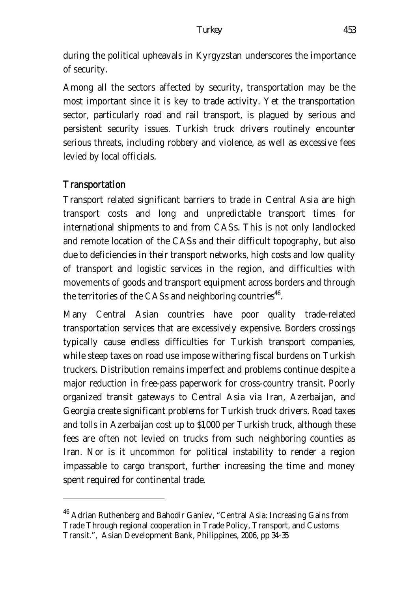during the political upheavals in Kyrgyzstan underscores the importance of security.

Among all the sectors affected by security, transportation may be the most important since it is key to trade activity. Yet the transportation sector, particularly road and rail transport, is plagued by serious and persistent security issues. Turkish truck drivers routinely encounter serious threats, including robbery and violence, as well as excessive fees levied by local officials.

### **Transportation**

 $\overline{a}$ 

Transport related significant barriers to trade in Central Asia are high transport costs and long and unpredictable transport times for international shipments to and from CASs. This is not only landlocked and remote location of the CASs and their difficult topography, but also due to deficiencies in their transport networks, high costs and low quality of transport and logistic services in the region, and difficulties with movements of goods and transport equipment across borders and through the territories of the CASs and neighboring countries<sup>46</sup>.

Many Central Asian countries have poor quality trade-related transportation services that are excessively expensive. Borders crossings typically cause endless difficulties for Turkish transport companies, while steep taxes on road use impose withering fiscal burdens on Turkish truckers. Distribution remains imperfect and problems continue despite a major reduction in free-pass paperwork for cross-country transit. Poorly organized transit gateways to Central Asia via Iran, Azerbaijan, and Georgia create significant problems for Turkish truck drivers. Road taxes and tolls in Azerbaijan cost up to \$1,000 per Turkish truck, although these fees are often not levied on trucks from such neighboring counties as Iran. Nor is it uncommon for political instability to render a region impassable to cargo transport, further increasing the time and money spent required for continental trade.

<sup>&</sup>lt;sup>46</sup> Adrian Ruthenberg and Bahodir Ganiev, "Central Asia: Increasing Gains from Trade Through regional cooperation in Trade Policy, Transport, and Customs Transit.", Asian Development Bank, Philippines, 2006, pp 34-35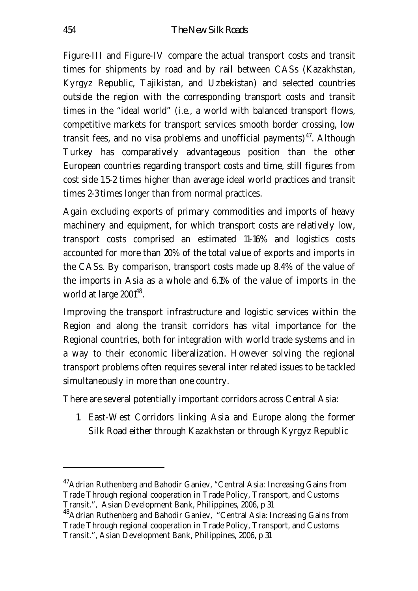Figure-III and Figure-IV compare the actual transport costs and transit times for shipments by road and by rail between CASs (Kazakhstan, Kyrgyz Republic, Tajikistan, and Uzbekistan) and selected countries outside the region with the corresponding transport costs and transit times in the "ideal world" (i.e., a world with balanced transport flows, competitive markets for transport services smooth border crossing, low transit fees, and no visa problems and unofficial payments)<sup>47</sup>. Although Turkey has comparatively advantageous position than the other European countries regarding transport costs and time, still figures from cost side 1.5-2 times higher than average ideal world practices and transit times 2-3 times longer than from normal practices.

Again excluding exports of primary commodities and imports of heavy machinery and equipment, for which transport costs are relatively low, transport costs comprised an estimated 11-16% and logistics costs accounted for more than 20% of the total value of exports and imports in the CASs. By comparison, transport costs made up 8.4% of the value of the imports in Asia as a whole and 6.1% of the value of imports in the world at large  $2001^{48}$ .

Improving the transport infrastructure and logistic services within the Region and along the transit corridors has vital importance for the Regional countries, both for integration with world trade systems and in a way to their economic liberalization. However solving the regional transport problems often requires several inter related issues to be tackled simultaneously in more than one country.

There are several potentially important corridors across Central Asia:

1. East-West Corridors linking Asia and Europe along the former Silk Road either through Kazakhstan or through Kyrgyz Republic

<sup>&</sup>lt;sup>47</sup>Adrian Ruthenberg and Bahodir Ganiev, "Central Asia: Increasing Gains from Trade Through regional cooperation in Trade Policy, Transport, and Customs Transit.", Asian Development Bank, Philippines, 2006, p 31

<sup>48</sup>Adrian Ruthenberg and Bahodir Ganiev, "Central Asia: Increasing Gains from Trade Through regional cooperation in Trade Policy, Transport, and Customs Transit.", Asian Development Bank, Philippines, 2006, p 31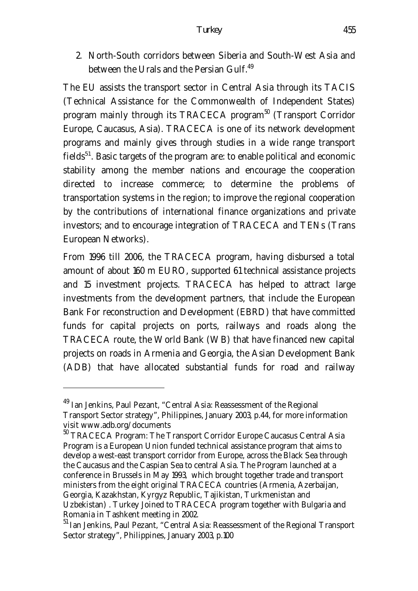2. North-South corridors between Siberia and South-West Asia and between the Urals and the Persian Gulf.<sup>49</sup>

The EU assists the transport sector in Central Asia through its TACIS (Technical Assistance for the Commonwealth of Independent States) program mainly through its TRACECA program<sup>50</sup> (Transport Corridor Europe, Caucasus, Asia). TRACECA is one of its network development programs and mainly gives through studies in a wide range transport fields<sup>51</sup>. Basic targets of the program are: to enable political and economic stability among the member nations and encourage the cooperation directed to increase commerce; to determine the problems of transportation systems in the region; to improve the regional cooperation by the contributions of international finance organizations and private investors; and to encourage integration of TRACECA and TENs (Trans European Networks).

From 1996 till 2006, the TRACECA program, having disbursed a total amount of about 160 m EURO, supported 61 technical assistance projects and 15 investment projects. TRACECA has helped to attract large investments from the development partners, that include the European Bank For reconstruction and Development (EBRD) that have committed funds for capital projects on ports, railways and roads along the TRACECA route, the World Bank (WB) that have financed new capital projects on roads in Armenia and Georgia, the Asian Development Bank (ADB) that have allocated substantial funds for road and railway

<sup>49</sup> Ian Jenkins, Paul Pezant, "Central Asia: Reassessment of the Regional Transport Sector strategy", Philippines, January 2003, p.44, for more information visit www.adb.org/documents

<sup>&</sup>lt;sup>50</sup> TRACECA Program: The Transport Corridor Europe Caucasus Central Asia Program is a European Union funded technical assistance program that aims to develop a west-east transport corridor from Europe, across the Black Sea through the Caucasus and the Caspian Sea to central Asia. The Program launched at a conference in Brussels in May 1993, which brought together trade and transport ministers from the eight original TRACECA countries (Armenia, Azerbaijan, Georgia, Kazakhstan, Kyrgyz Republic, Tajikistan, Turkmenistan and Uzbekistan) . Turkey Joined to TRACECA program together with Bulgaria and Romania in Tashkent meeting in 2002.

<sup>51</sup> Ian Jenkins, Paul Pezant, "Central Asia: Reassessment of the Regional Transport Sector strategy", Philippines, January 2003, p.100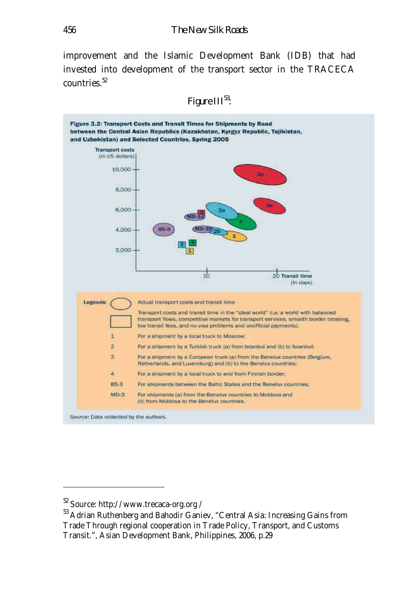improvement and the Islamic Development Bank (IDB) that had invested into development of the transport sector in the TRACECA countries.<sup>52</sup>



<sup>52</sup> Source: http://www.trecaca-org.org /

<sup>53</sup> Adrian Ruthenberg and Bahodir Ganiev, "Central Asia: Increasing Gains from Trade Through regional cooperation in Trade Policy, Transport, and Customs Transit.", Asian Development Bank, Philippines, 2006, p.29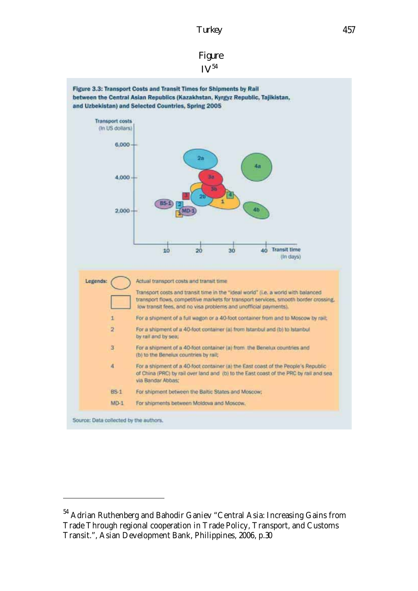# *Figure*   $I V^{54}$



 $^{\rm 54}$  Adrian Ruthenberg and Bahodir Ganiev "Central Asia: Increasing Gains from Trade Through regional cooperation in Trade Policy, Transport, and Customs Transit.", Asian Development Bank, Philippines, 2006, p.30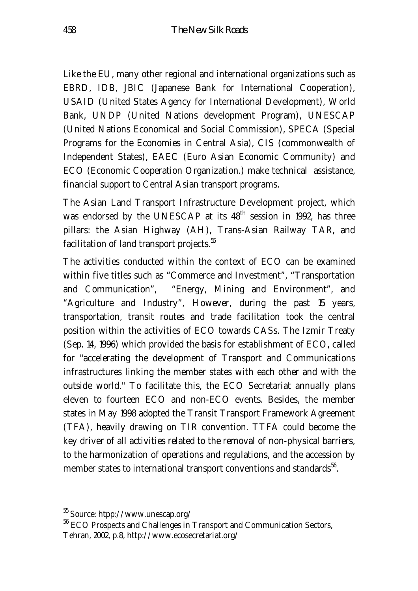Like the EU, many other regional and international organizations such as EBRD, IDB, JBIC (Japanese Bank for International Cooperation), USAID (United States Agency for International Development), World Bank, UNDP (United Nations development Program), UNESCAP (United Nations Economical and Social Commission), SPECA (Special Programs for the Economies in Central Asia), CIS (commonwealth of Independent States), EAEC (Euro Asian Economic Community) and ECO (Economic Cooperation Organization.) make technical assistance, financial support to Central Asian transport programs.

The Asian Land Transport Infrastructure Development project, which was endorsed by the UNESCAP at its  $48<sup>th</sup>$  session in 1992, has three pillars: the Asian Highway (AH), Trans-Asian Railway TAR, and facilitation of land transport projects.<sup>55</sup>

The activities conducted within the context of ECO can be examined within five titles such as "Commerce and Investment", "Transportation and Communication", "Energy, Mining and Environment", and "Agriculture and Industry", However, during the past 15 years, transportation, transit routes and trade facilitation took the central position within the activities of ECO towards CASs. The Izmir Treaty (Sep. 14, 1996) which provided the basis for establishment of ECO, called for "accelerating the development of Transport and Communications infrastructures linking the member states with each other and with the outside world." To facilitate this, the ECO Secretariat annually plans eleven to fourteen ECO and non-ECO events. Besides, the member states in May 1998 adopted the Transit Transport Framework Agreement (TFA), heavily drawing on TIR convention. TTFA could become the key driver of all activities related to the removal of non-physical barriers, to the harmonization of operations and regulations, and the accession by member states to international transport conventions and standards<sup>36</sup>.

<sup>55</sup> Source: htpp://www.unescap.org/

<sup>&</sup>lt;sup>56</sup> ECO Prospects and Challenges in Transport and Communication Sectors, Tehran, 2002, p.8, http://www.ecosecretariat.org/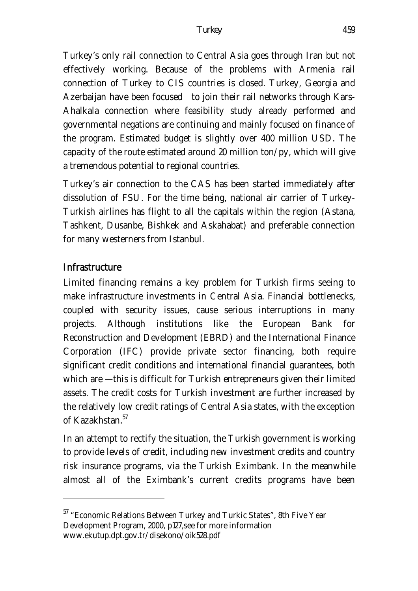Turkey's only rail connection to Central Asia goes through Iran but not effectively working. Because of the problems with Armenia rail connection of Turkey to CIS countries is closed. Turkey, Georgia and Azerbaijan have been focused to join their rail networks through Kars-Ahalkala connection where feasibility study already performed and governmental negations are continuing and mainly focused on finance of the program. Estimated budget is slightly over 400 million USD. The capacity of the route estimated around 20 million ton/py, which will give a tremendous potential to regional countries.

Turkey's air connection to the CAS has been started immediately after dissolution of FSU. For the time being, national air carrier of Turkey-Turkish airlines has flight to all the capitals within the region (Astana, Tashkent, Dusanbe, Bishkek and Askahabat) and preferable connection for many westerners from Istanbul.

# **Infrastructure**

 $\overline{a}$ 

Limited financing remains a key problem for Turkish firms seeing to make infrastructure investments in Central Asia. Financial bottlenecks, coupled with security issues, cause serious interruptions in many projects. Although institutions like the European Bank for Reconstruction and Development (EBRD) and the International Finance Corporation (IFC) provide private sector financing, both require significant credit conditions and international financial guarantees, both which are —this is difficult for Turkish entrepreneurs given their limited assets. The credit costs for Turkish investment are further increased by the relatively low credit ratings of Central Asia states, with the exception of Kazakhstan.57

In an attempt to rectify the situation, the Turkish government is working to provide levels of credit, including new investment credits and country risk insurance programs, via the Turkish Eximbank. In the meanwhile almost all of the Eximbank's current credits programs have been

<sup>57 &</sup>quot;Economic Relations Between Turkey and Turkic States", 8th Five Year Development Program, 2000, p127,see for more information www.ekutup.dpt.gov.tr/disekono/oik528.pdf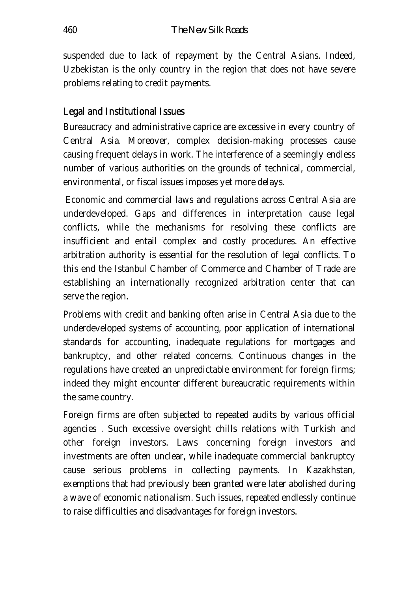suspended due to lack of repayment by the Central Asians. Indeed, Uzbekistan is the only country in the region that does not have severe problems relating to credit payments.

# Legal and Institutional Issues

Bureaucracy and administrative caprice are excessive in every country of Central Asia. Moreover, complex decision-making processes cause causing frequent delays in work. The interference of a seemingly endless number of various authorities on the grounds of technical, commercial, environmental, or fiscal issues imposes yet more delays.

 Economic and commercial laws and regulations across Central Asia are underdeveloped. Gaps and differences in interpretation cause legal conflicts, while the mechanisms for resolving these conflicts are insufficient and entail complex and costly procedures. An effective arbitration authority is essential for the resolution of legal conflicts. To this end the Istanbul Chamber of Commerce and Chamber of Trade are establishing an internationally recognized arbitration center that can serve the region.

Problems with credit and banking often arise in Central Asia due to the underdeveloped systems of accounting, poor application of international standards for accounting, inadequate regulations for mortgages and bankruptcy, and other related concerns. Continuous changes in the regulations have created an unpredictable environment for foreign firms; indeed they might encounter different bureaucratic requirements within the same country.

Foreign firms are often subjected to repeated audits by various official agencies . Such excessive oversight chills relations with Turkish and other foreign investors. Laws concerning foreign investors and investments are often unclear, while inadequate commercial bankruptcy cause serious problems in collecting payments. In Kazakhstan, exemptions that had previously been granted were later abolished during a wave of economic nationalism. Such issues, repeated endlessly continue to raise difficulties and disadvantages for foreign investors.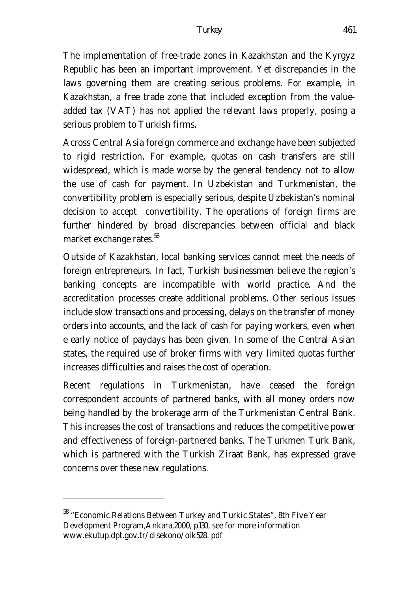The implementation of free-trade zones in Kazakhstan and the Kyrgyz Republic has been an important improvement. Yet discrepancies in the laws governing them are creating serious problems. For example, in Kazakhstan, a free trade zone that included exception from the valueadded tax (VAT) has not applied the relevant laws properly, posing a serious problem to Turkish firms.

Across Central Asia foreign commerce and exchange have been subjected to rigid restriction. For example, quotas on cash transfers are still widespread, which is made worse by the general tendency not to allow the use of cash for payment. In Uzbekistan and Turkmenistan, the convertibility problem is especially serious, despite Uzbekistan's nominal decision to accept convertibility. The operations of foreign firms are further hindered by broad discrepancies between official and black market exchange rates.<sup>58</sup>

Outside of Kazakhstan, local banking services cannot meet the needs of foreign entrepreneurs. In fact, Turkish businessmen believe the region's banking concepts are incompatible with world practice. And the accreditation processes create additional problems. Other serious issues include slow transactions and processing, delays on the transfer of money orders into accounts, and the lack of cash for paying workers, even when e early notice of paydays has been given. In some of the Central Asian states, the required use of broker firms with very limited quotas further increases difficulties and raises the cost of operation.

Recent regulations in Turkmenistan, have ceased the foreign correspondent accounts of partnered banks, with all money orders now being handled by the brokerage arm of the Turkmenistan Central Bank. This increases the cost of transactions and reduces the competitive power and effectiveness of foreign-partnered banks. The Turkmen Turk Bank, which is partnered with the Turkish Ziraat Bank, has expressed grave concerns over these new regulations.

<sup>58 &</sup>quot;Economic Relations Between Turkey and Turkic States", 8th Five Year Development Program,Ankara,2000, p130, see for more information www.ekutup.dpt.gov.tr/disekono/oik528. pdf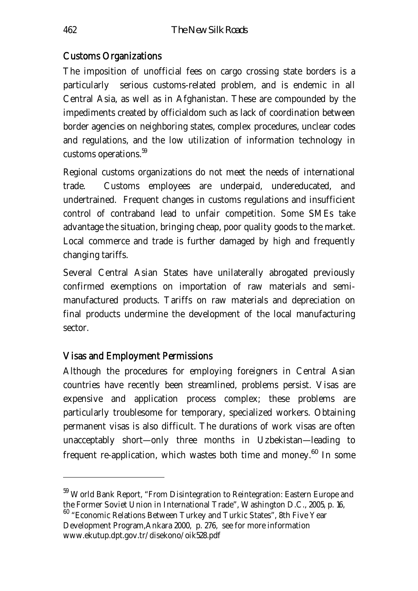# Customs Organizations

The imposition of unofficial fees on cargo crossing state borders is a particularly serious customs-related problem, and is endemic in all Central Asia, as well as in Afghanistan. These are compounded by the impediments created by officialdom such as lack of coordination between border agencies on neighboring states, complex procedures, unclear codes and regulations, and the low utilization of information technology in customs operations.<sup>59</sup>

Regional customs organizations do not meet the needs of international trade. Customs employees are underpaid, undereducated, and undertrained. Frequent changes in customs regulations and insufficient control of contraband lead to unfair competition. Some SMEs take advantage the situation, bringing cheap, poor quality goods to the market. Local commerce and trade is further damaged by high and frequently changing tariffs.

Several Central Asian States have unilaterally abrogated previously confirmed exemptions on importation of raw materials and semimanufactured products. Tariffs on raw materials and depreciation on final products undermine the development of the local manufacturing sector.

# Visas and Employment Permissions

Although the procedures for employing foreigners in Central Asian countries have recently been streamlined, problems persist. Visas are expensive and application process complex; these problems are particularly troublesome for temporary, specialized workers. Obtaining permanent visas is also difficult. The durations of work visas are often unacceptably short—only three months in Uzbekistan—leading to frequent re-application, which wastes both time and money.<sup>60</sup> In some

 $59$  World Bank Report, "From Disintegration to Reintegration: Eastern Europe and the Former Soviet Union in International Trade", Washington D.C., 2005, p. 16,  $60$  "Economic Relations Between Turkey and Turkic States", 8th Five Year

Development Program,Ankara 2000, p. 276, see for more information www.ekutup.dpt.gov.tr/disekono/oik528.pdf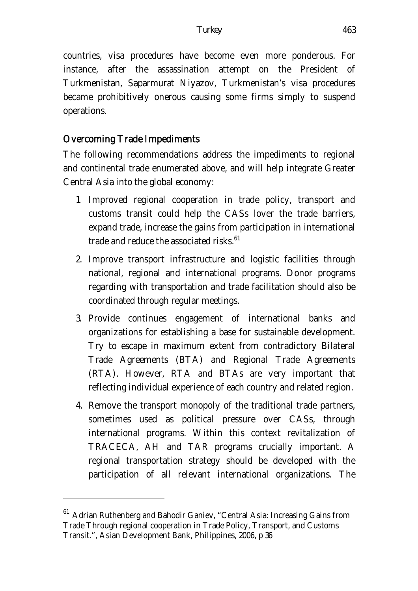countries, visa procedures have become even more ponderous. For instance, after the assassination attempt on the President of Turkmenistan, Saparmurat Niyazov, Turkmenistan's visa procedures became prohibitively onerous causing some firms simply to suspend operations.

#### Overcoming Trade Impediments

 $\overline{a}$ 

The following recommendations address the impediments to regional and continental trade enumerated above, and will help integrate Greater Central Asia into the global economy:

- 1. Improved regional cooperation in trade policy, transport and customs transit could help the CASs lover the trade barriers, expand trade, increase the gains from participation in international trade and reduce the associated risks.<sup>61</sup>
- 2. Improve transport infrastructure and logistic facilities through national, regional and international programs. Donor programs regarding with transportation and trade facilitation should also be coordinated through regular meetings.
- 3. Provide continues engagement of international banks and organizations for establishing a base for sustainable development. Try to escape in maximum extent from contradictory Bilateral Trade Agreements (BTA) and Regional Trade Agreements (RTA). However, RTA and BTAs are very important that reflecting individual experience of each country and related region.
- 4. Remove the transport monopoly of the traditional trade partners, sometimes used as political pressure over CASs, through international programs. Within this context revitalization of TRACECA, AH and TAR programs crucially important. A regional transportation strategy should be developed with the participation of all relevant international organizations. The

<sup>61</sup> Adrian Ruthenberg and Bahodir Ganiev, "Central Asia: Increasing Gains from Trade Through regional cooperation in Trade Policy, Transport, and Customs Transit.", Asian Development Bank, Philippines, 2006, p 36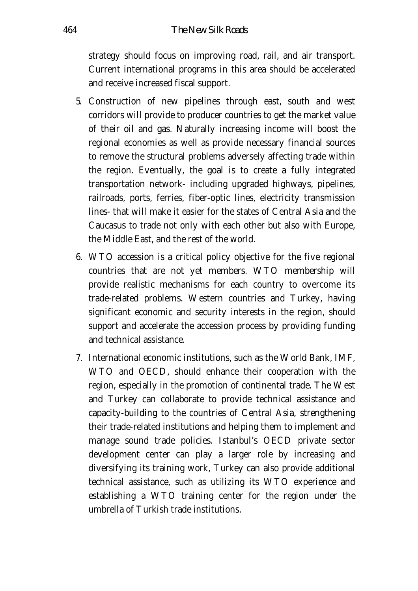strategy should focus on improving road, rail, and air transport. Current international programs in this area should be accelerated and receive increased fiscal support.

- 5. Construction of new pipelines through east, south and west corridors will provide to producer countries to get the market value of their oil and gas. Naturally increasing income will boost the regional economies as well as provide necessary financial sources to remove the structural problems adversely affecting trade within the region. Eventually, the goal is to create a fully integrated transportation network- including upgraded highways, pipelines, railroads, ports, ferries, fiber-optic lines, electricity transmission lines- that will make it easier for the states of Central Asia and the Caucasus to trade not only with each other but also with Europe, the Middle East, and the rest of the world.
- 6. WTO accession is a critical policy objective for the five regional countries that are not yet members. WTO membership will provide realistic mechanisms for each country to overcome its trade-related problems. Western countries and Turkey, having significant economic and security interests in the region, should support and accelerate the accession process by providing funding and technical assistance.
- 7. International economic institutions, such as the World Bank, IMF, WTO and OECD, should enhance their cooperation with the region, especially in the promotion of continental trade. The West and Turkey can collaborate to provide technical assistance and capacity-building to the countries of Central Asia, strengthening their trade-related institutions and helping them to implement and manage sound trade policies. Istanbul's OECD private sector development center can play a larger role by increasing and diversifying its training work, Turkey can also provide additional technical assistance, such as utilizing its WTO experience and establishing a WTO training center for the region under the umbrella of Turkish trade institutions.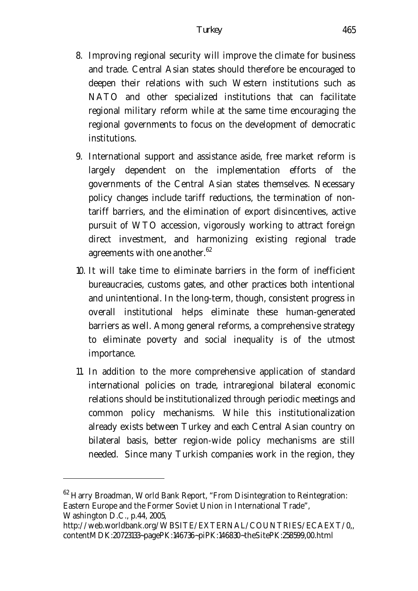- 8. Improving regional security will improve the climate for business and trade. Central Asian states should therefore be encouraged to deepen their relations with such Western institutions such as NATO and other specialized institutions that can facilitate regional military reform while at the same time encouraging the regional governments to focus on the development of democratic institutions.
- 9. International support and assistance aside, free market reform is largely dependent on the implementation efforts of the governments of the Central Asian states themselves. Necessary policy changes include tariff reductions, the termination of nontariff barriers, and the elimination of export disincentives, active pursuit of WTO accession, vigorously working to attract foreign direct investment, and harmonizing existing regional trade agreements with one another.<sup>62</sup>
- 10. It will take time to eliminate barriers in the form of inefficient bureaucracies, customs gates, and other practices both intentional and unintentional. In the long-term, though, consistent progress in overall institutional helps eliminate these human-generated barriers as well. Among general reforms, a comprehensive strategy to eliminate poverty and social inequality is of the utmost importance.
- 11. In addition to the more comprehensive application of standard international policies on trade, intraregional bilateral economic relations should be institutionalized through periodic meetings and common policy mechanisms. While this institutionalization already exists between Turkey and each Central Asian country on bilateral basis, better region-wide policy mechanisms are still needed. Since many Turkish companies work in the region, they

 $62$  Harry Broadman, World Bank Report, "From Disintegration to Reintegration: Eastern Europe and the Former Soviet Union in International Trade", Washington D.C., p.44, 2005,

http://web.worldbank.org/WBSITE/EXTERNAL/COUNTRIES/ECAEXT/0,, contentMDK:20723133~pagePK:146736~piPK:146830~theSitePK:258599,00.html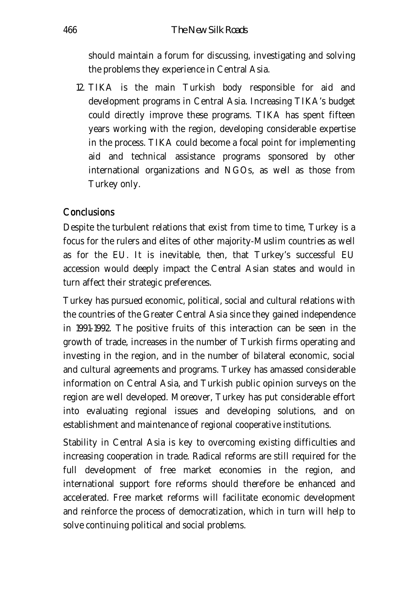should maintain a forum for discussing, investigating and solving the problems they experience in Central Asia.

12. TIKA is the main Turkish body responsible for aid and development programs in Central Asia. Increasing TIKA's budget could directly improve these programs. TIKA has spent fifteen years working with the region, developing considerable expertise in the process. TIKA could become a focal point for implementing aid and technical assistance programs sponsored by other international organizations and NGOs, as well as those from Turkey only.

# **Conclusions**

Despite the turbulent relations that exist from time to time, Turkey is a focus for the rulers and elites of other majority-Muslim countries as well as for the EU. It is inevitable, then, that Turkey's successful EU accession would deeply impact the Central Asian states and would in turn affect their strategic preferences.

Turkey has pursued economic, political, social and cultural relations with the countries of the Greater Central Asia since they gained independence in 1991-1992. The positive fruits of this interaction can be seen in the growth of trade, increases in the number of Turkish firms operating and investing in the region, and in the number of bilateral economic, social and cultural agreements and programs. Turkey has amassed considerable information on Central Asia, and Turkish public opinion surveys on the region are well developed. Moreover, Turkey has put considerable effort into evaluating regional issues and developing solutions, and on establishment and maintenance of regional cooperative institutions.

Stability in Central Asia is key to overcoming existing difficulties and increasing cooperation in trade. Radical reforms are still required for the full development of free market economies in the region, and international support fore reforms should therefore be enhanced and accelerated. Free market reforms will facilitate economic development and reinforce the process of democratization, which in turn will help to solve continuing political and social problems.